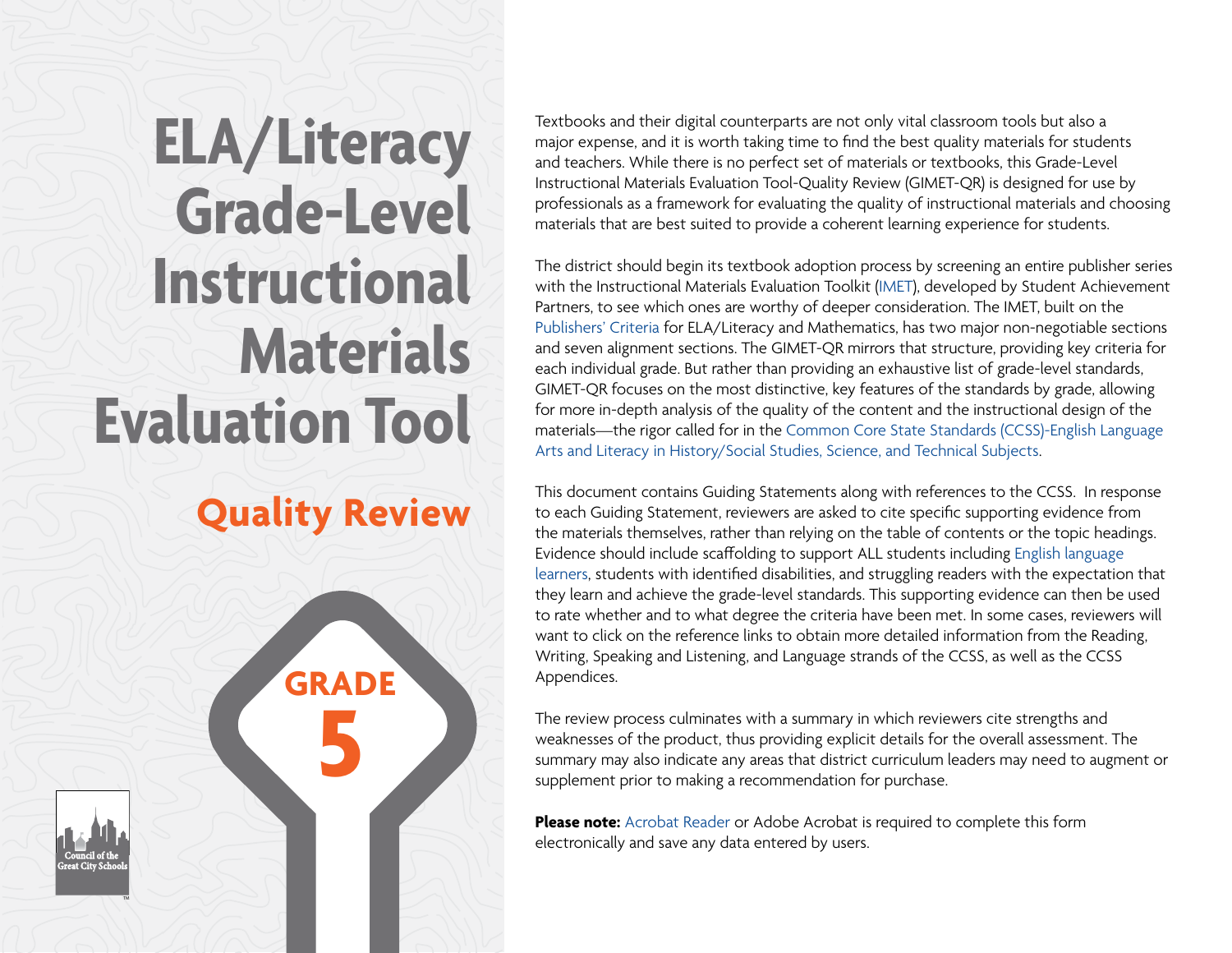# **ELA/Literacy Grade-Level Instructional Materials Evaluation Tool**

## **Quality Review**

**GRADE**

**5**

TM

Textbooks and their digital counterparts are not only vital classroom tools but also a major expense, and it is worth taking time to find the best quality materials for students and teachers. While there is no perfect set of materials or textbooks, this Grade-Level Instructional Materials Evaluation Tool-Quality Review (GIMET-QR) is designed for use by professionals as a framework for evaluating the quality of instructional materials and choosing materials that are best suited to provide a coherent learning experience for students.

The district should begin its textbook adoption process by screening an entire publisher series with the Instructional Materials Evaluation Toolkit [\(IMET\)](http://achievethecore.org/page/783/instructional-materials-evaluation-tool-imet), developed by Student Achievement Partners, to see which ones are worthy of deeper consideration. The IMET, built on the [Publishers' Criteria](http://achievethecore.org/page/686/publishers-criteria) for ELA/Literacy and Mathematics, has two major non-negotiable sections and seven alignment sections. The GIMET-QR mirrors that structure, providing key criteria for each individual grade. But rather than providing an exhaustive list of grade-level standards, GIMET-QR focuses on the most distinctive, key features of the standards by grade, allowing for more in-depth analysis of the quality of the content and the instructional design of the materials—the rigor called for in the [Common Core State Standards \(CCSS\)-English Language](http://www.corestandards.org/ELA-Literacy/)  [Arts and Literacy in History/Social Studies, Science, and Technical Subjects.](http://www.corestandards.org/ELA-Literacy/)

This document contains Guiding Statements along with references to the CCSS. In response to each Guiding Statement, reviewers are asked to cite specific supporting evidence from the materials themselves, rather than relying on the table of contents or the topic headings. Evidence should include scaffolding to support ALL students including [English language](http://www.cgcs.org/cms/lib/DC00001581/Centricity/Domain/4/Framework%20for%20Raising%20Expectations.pdf)  [learners](http://www.cgcs.org/cms/lib/DC00001581/Centricity/Domain/4/Framework%20for%20Raising%20Expectations.pdf), students with identified disabilities, and struggling readers with the expectation that they learn and achieve the grade-level standards. This supporting evidence can then be used to rate whether and to what degree the criteria have been met. In some cases, reviewers will want to click on the reference links to obtain more detailed information from the Reading, Writing, Speaking and Listening, and Language strands of the CCSS, as well as the CCSS Appendices.

The review process culminates with a summary in which reviewers cite strengths and weaknesses of the product, thus providing explicit details for the overall assessment. The summary may also indicate any areas that district curriculum leaders may need to augment or supplement prior to making a recommendation for purchase.

**Please note:** [Acrobat Reader](https://get.adobe.com/reader/) or Adobe Acrobat is required to complete this form electronically and save any data entered by users.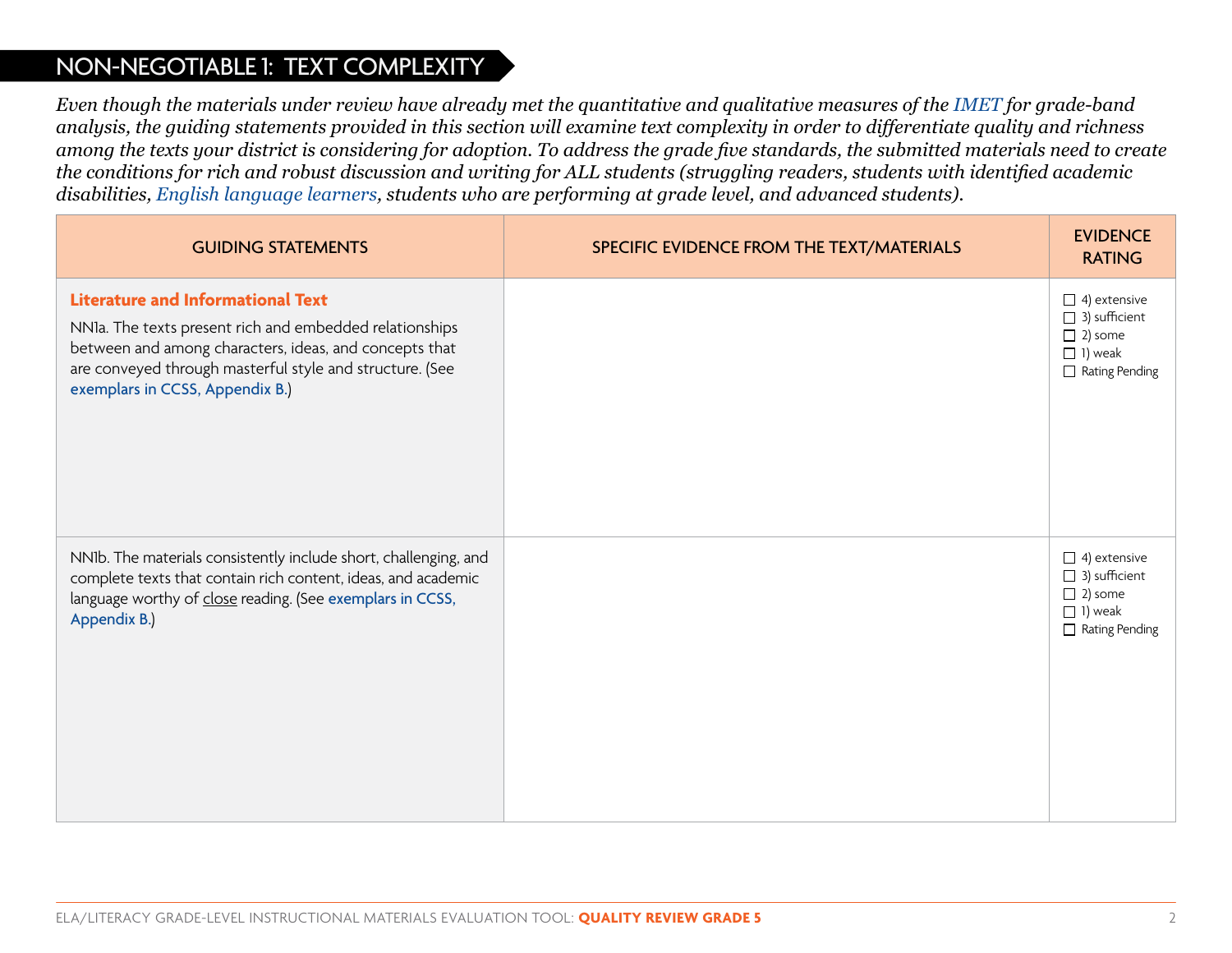#### NON-NEGOTIABLE 1: TEXT COMPLEXITY

*Even though the materials under review have already met the quantitative and qualitative measures of the [IMET f](http://achievethecore.org/page/783/instructional-materials-evaluation-tool-imet)or grade-band analysis, the guiding statements provided in this section will examine text complexity in order to differentiate quality and richness among the texts your district is considering for adoption. To address the grade five standards, the submitted materials need to create the conditions for rich and robust discussion and writing for ALL students (struggling readers, students with identified academic disabilities, [English language learners](http://www.cgcs.org/cms/lib/DC00001581/Centricity/Domain/4/Framework%20for%20Raising%20Expectations.pdf), students who are performing at grade level, and advanced students).*

| <b>GUIDING STATEMENTS</b>                                                                                                                                                                                                                                    | SPECIFIC EVIDENCE FROM THE TEXT/MATERIALS | <b>EVIDENCE</b><br><b>RATING</b>                                                                         |
|--------------------------------------------------------------------------------------------------------------------------------------------------------------------------------------------------------------------------------------------------------------|-------------------------------------------|----------------------------------------------------------------------------------------------------------|
| <b>Literature and Informational Text</b><br>NNIa. The texts present rich and embedded relationships<br>between and among characters, ideas, and concepts that<br>are conveyed through masterful style and structure. (See<br>exemplars in CCSS, Appendix B.) |                                           | $\Box$ 4) extensive<br>$\Box$ 3) sufficient<br>$\Box$ 2) some<br>$\Box$ 1) weak<br>$\Box$ Rating Pending |
| NNIb. The materials consistently include short, challenging, and<br>complete texts that contain rich content, ideas, and academic<br>language worthy of close reading. (See exemplars in CCSS,<br>Appendix B.)                                               |                                           | $\Box$ 4) extensive<br>$\Box$ 3) sufficient<br>$\Box$ 2) some<br>$\Box$ 1) weak<br>$\Box$ Rating Pending |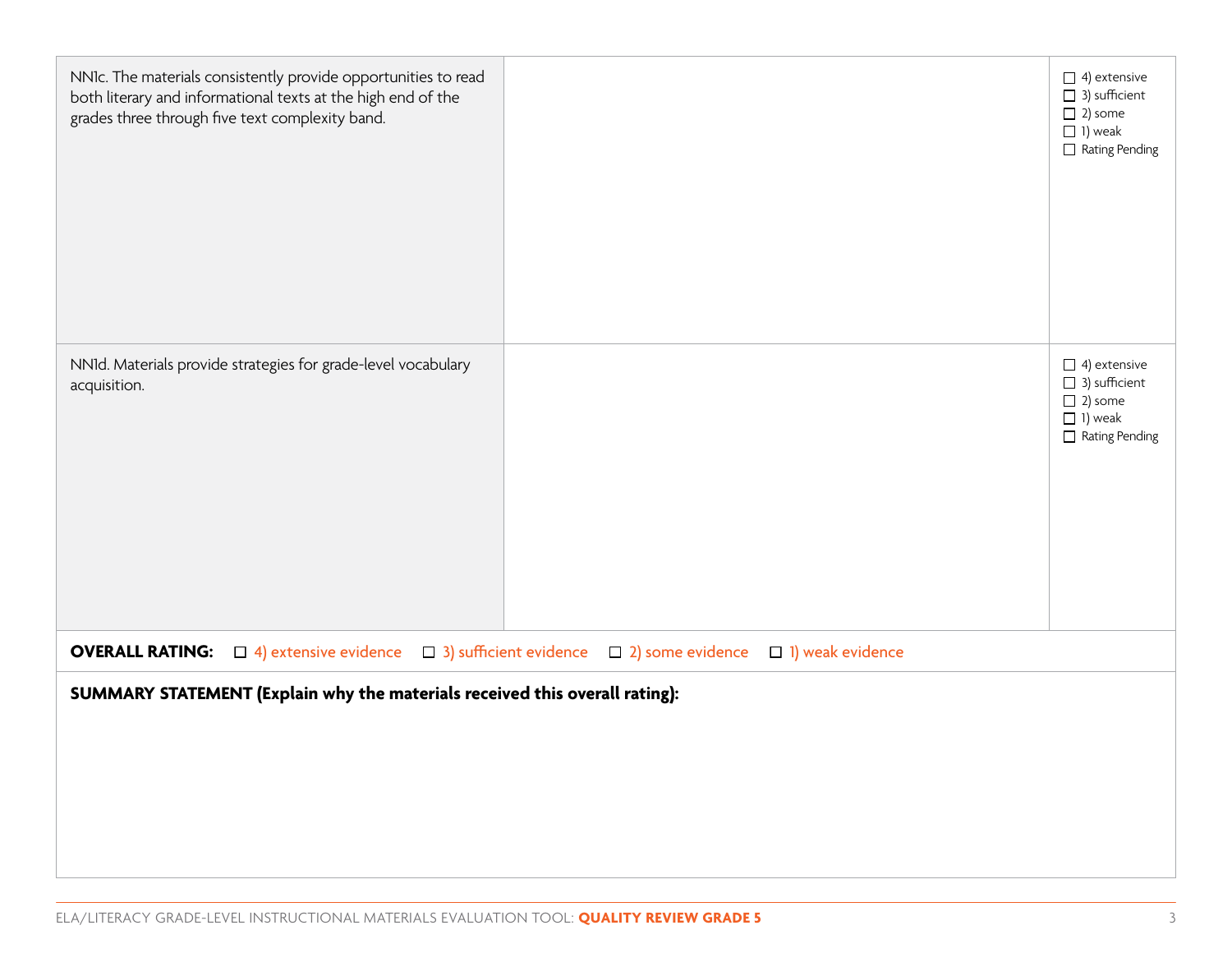| NNIc. The materials consistently provide opportunities to read<br>both literary and informational texts at the high end of the<br>grades three through five text complexity band. | $\Box$ 4) extensive<br>$\Box$ 3) sufficient<br>$\Box$ 2) some<br>$\Box$ 1) weak<br>$\Box$ Rating Pending |
|-----------------------------------------------------------------------------------------------------------------------------------------------------------------------------------|----------------------------------------------------------------------------------------------------------|
| NNId. Materials provide strategies for grade-level vocabulary<br>acquisition.                                                                                                     | $\Box$ 4) extensive<br>$\Box$ 3) sufficient<br>$\Box$ 2) some<br>$\Box$ 1) weak<br>$\Box$ Rating Pending |
| <b>OVERALL RATING:</b> $\Box$ 4) extensive evidence $\Box$ 3) sufficient evidence $\Box$ 2) some evidence $\Box$ 1) weak evidence                                                 |                                                                                                          |
| SUMMARY STATEMENT (Explain why the materials received this overall rating):                                                                                                       |                                                                                                          |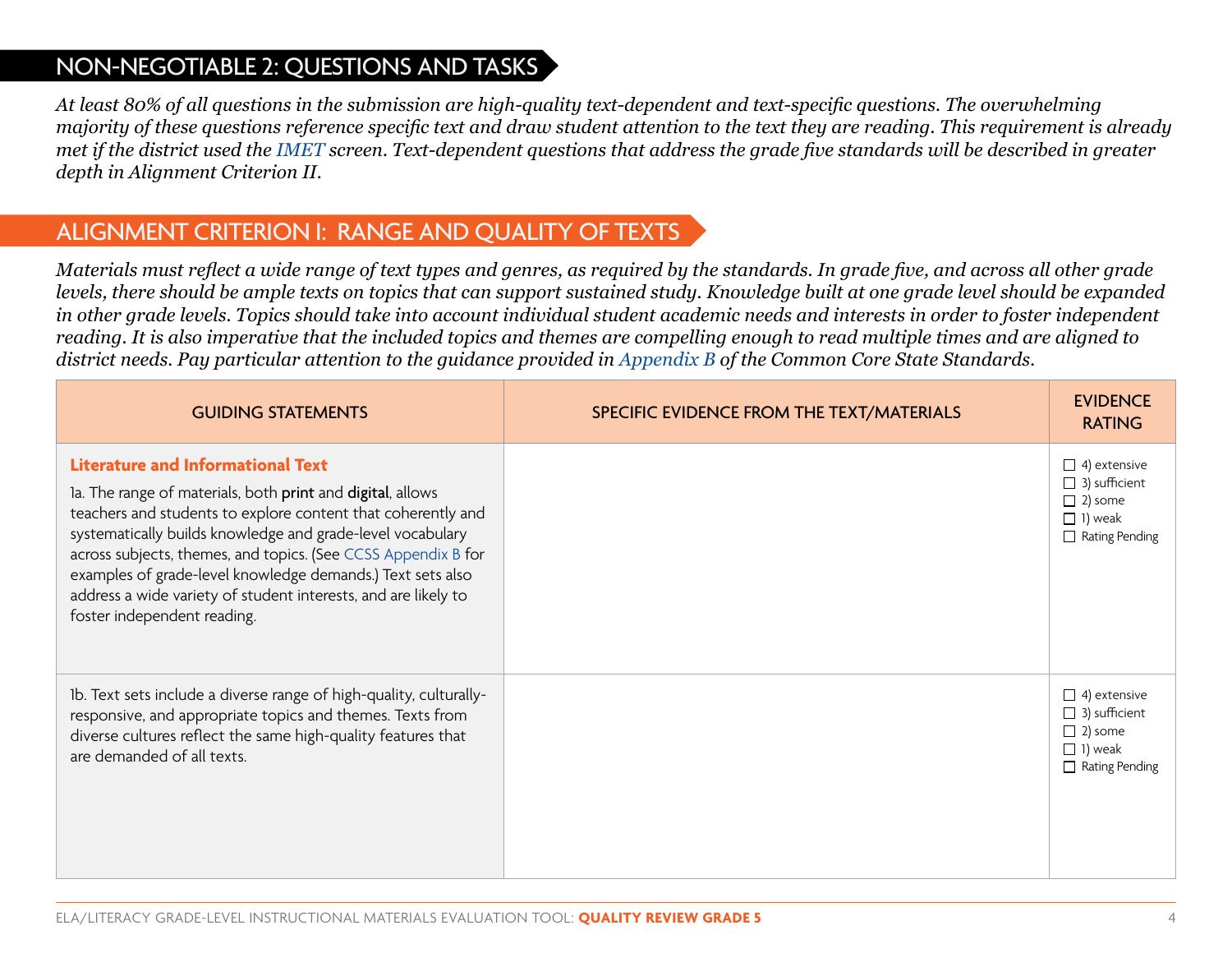#### NON-NEGOTIABLE 2: QUESTIONS AND TASKS

*At least 80% of all questions in the submission are high-quality text-dependent and text-specific questions. The overwhelming majority of these questions reference specific text and draw student attention to the text they are reading. This requirement is already met if the district used the [IMET](http://achievethecore.org/page/783/instructional-materials-evaluation-tool-imet) screen. Text-dependent questions that address the grade five standards will be described in greater depth in Alignment Criterion II.*

#### ALIGNMENT CRITERION I: RANGE AND QUALITY OF TEXTS

*Materials must reflect a wide range of text types and genres, as required by the standards. In grade five, and across all other grade levels, there should be ample texts on topics that can support sustained study. Knowledge built at one grade level should be expanded in other grade levels. Topics should take into account individual student academic needs and interests in order to foster independent reading. It is also imperative that the included topics and themes are compelling enough to read multiple times and are aligned to district needs. Pay particular attention to the guidance provided in [Appendix B](http://www.corestandards.org/assets/Appendix_B.pdf) of the Common Core State Standards.*

| <b>GUIDING STATEMENTS</b>                                                                                                                                                                                                                                                                                                                                                                                                                                            | SPECIFIC EVIDENCE FROM THE TEXT/MATERIALS | <b>EVIDENCE</b><br><b>RATING</b>                                                                         |
|----------------------------------------------------------------------------------------------------------------------------------------------------------------------------------------------------------------------------------------------------------------------------------------------------------------------------------------------------------------------------------------------------------------------------------------------------------------------|-------------------------------------------|----------------------------------------------------------------------------------------------------------|
| <b>Literature and Informational Text</b><br>la. The range of materials, both print and digital, allows<br>teachers and students to explore content that coherently and<br>systematically builds knowledge and grade-level vocabulary<br>across subjects, themes, and topics. (See CCSS Appendix B for<br>examples of grade-level knowledge demands.) Text sets also<br>address a wide variety of student interests, and are likely to<br>foster independent reading. |                                           | $\Box$ 4) extensive<br>$\Box$ 3) sufficient<br>$\Box$ 2) some<br>$\Box$ 1) weak<br>$\Box$ Rating Pending |
| 1b. Text sets include a diverse range of high-quality, culturally-<br>responsive, and appropriate topics and themes. Texts from<br>diverse cultures reflect the same high-quality features that<br>are demanded of all texts.                                                                                                                                                                                                                                        |                                           | $\Box$ 4) extensive<br>$\Box$ 3) sufficient<br>$\Box$ 2) some<br>$\Box$ 1) weak<br>$\Box$ Rating Pending |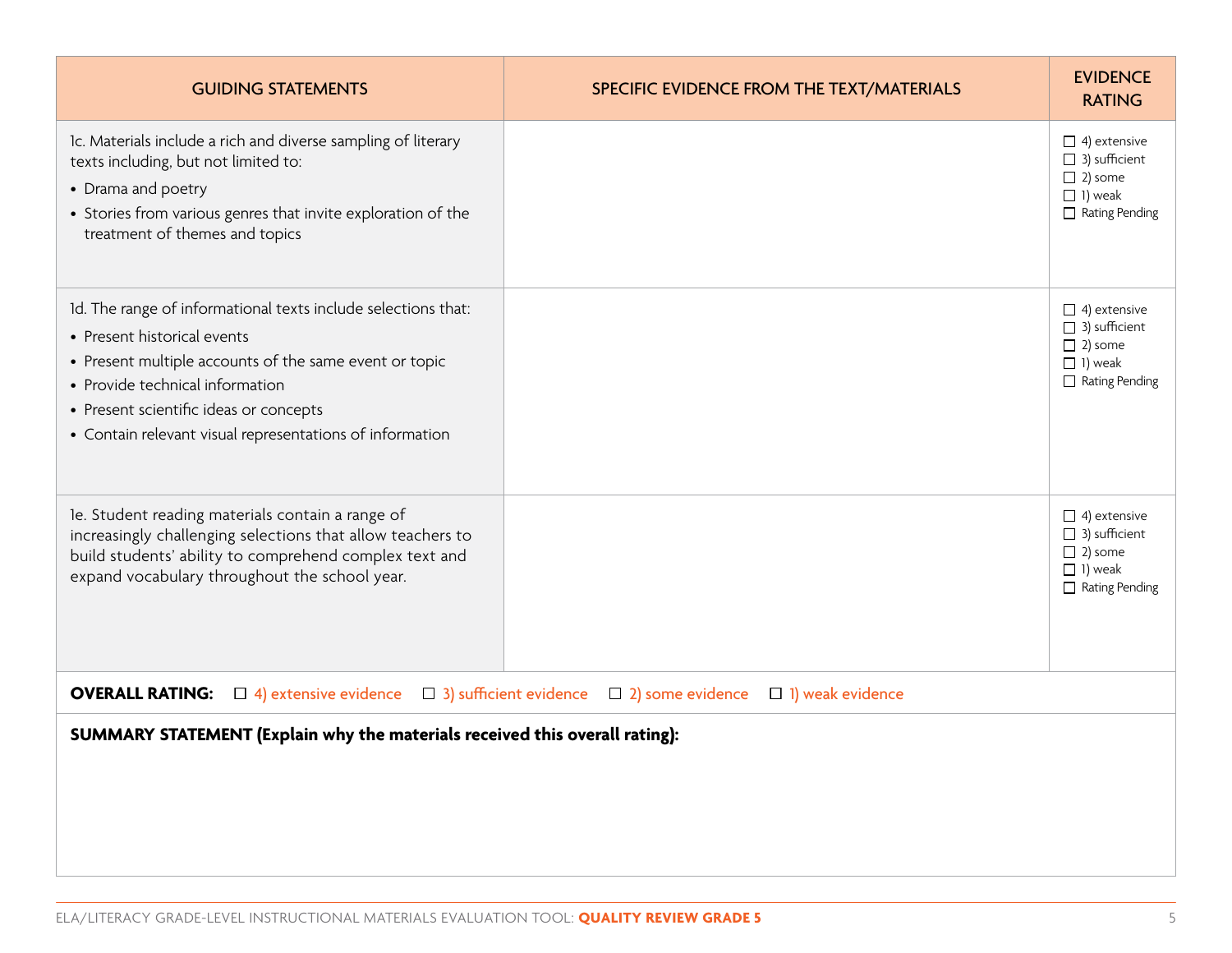| <b>GUIDING STATEMENTS</b>                                                                                                                                                                                                                                                                       | SPECIFIC EVIDENCE FROM THE TEXT/MATERIALS | <b>EVIDENCE</b><br><b>RATING</b>                                                                         |
|-------------------------------------------------------------------------------------------------------------------------------------------------------------------------------------------------------------------------------------------------------------------------------------------------|-------------------------------------------|----------------------------------------------------------------------------------------------------------|
| Ic. Materials include a rich and diverse sampling of literary<br>texts including, but not limited to:<br>• Drama and poetry<br>• Stories from various genres that invite exploration of the<br>treatment of themes and topics                                                                   |                                           | $\Box$ 4) extensive<br>$\Box$ 3) sufficient<br>$\Box$ 2) some<br>$\Box$ 1) weak<br>$\Box$ Rating Pending |
| Id. The range of informational texts include selections that:<br>• Present historical events<br>• Present multiple accounts of the same event or topic<br>• Provide technical information<br>• Present scientific ideas or concepts<br>• Contain relevant visual representations of information |                                           | $\Box$ 4) extensive<br>$\Box$ 3) sufficient<br>$\Box$ 2) some<br>$\Box$ 1) weak<br>$\Box$ Rating Pending |
| le. Student reading materials contain a range of<br>increasingly challenging selections that allow teachers to<br>build students' ability to comprehend complex text and<br>expand vocabulary throughout the school year.                                                                       |                                           | $\Box$ 4) extensive<br>3) sufficient<br>$\Box$ 2) some<br>$\Box$ 1) weak<br>$\Box$ Rating Pending        |
| <b>OVERALL RATING:</b><br>$\Box$ 4) extensive evidence $\Box$ 3) sufficient evidence $\Box$ 2) some evidence                                                                                                                                                                                    | $\Box$ 1) weak evidence                   |                                                                                                          |
| SUMMARY STATEMENT (Explain why the materials received this overall rating):                                                                                                                                                                                                                     |                                           |                                                                                                          |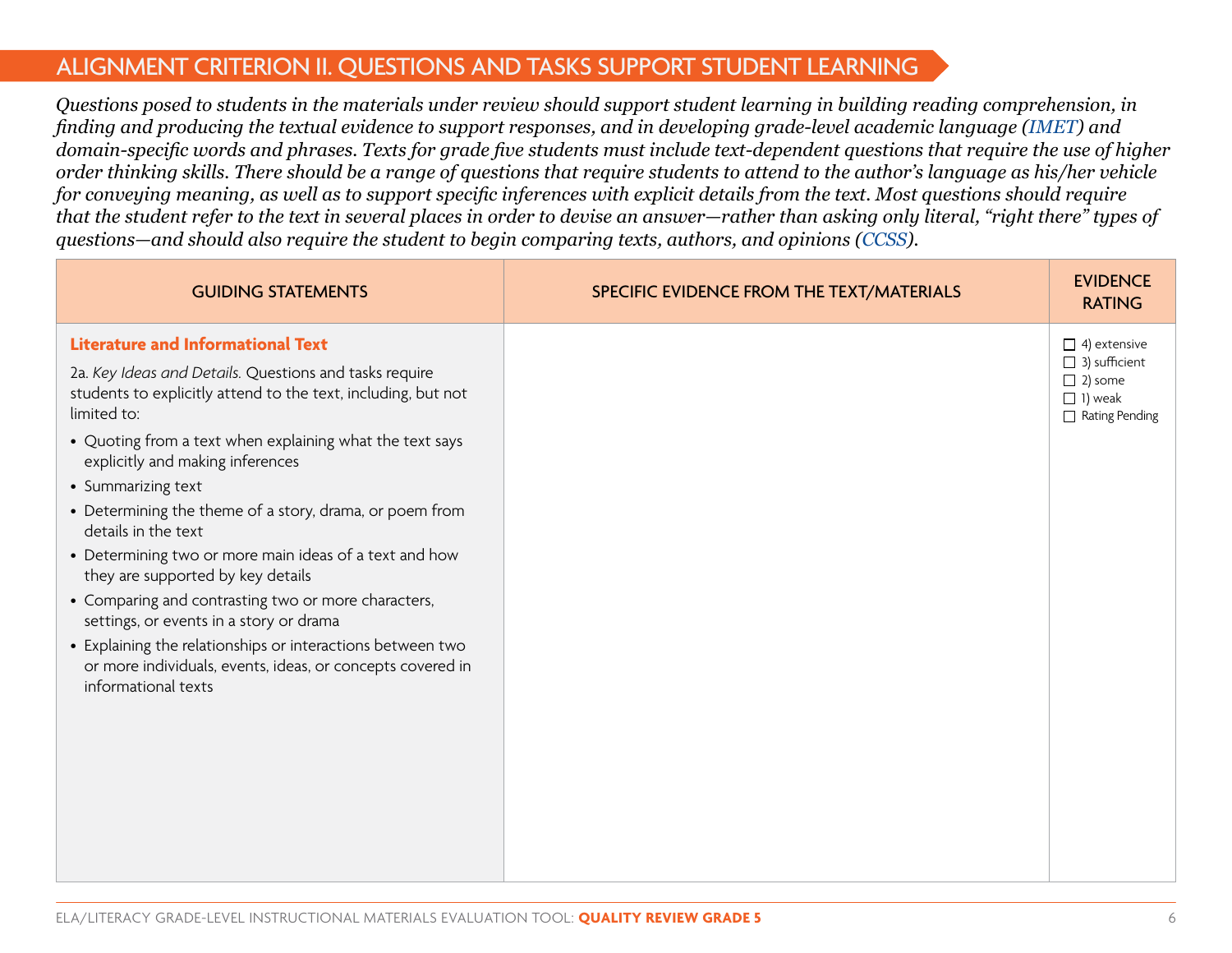#### ALIGNMENT CRITERION II. QUESTIONS AND TASKS SUPPORT STUDENT LEARNING

*Questions posed to students in the materials under review should support student learning in building reading comprehension, in finding and producing the textual evidence to support responses, and in developing grade-level academic language ([IMET](http://achievethecore.org/page/783/instructional-materials-evaluation-tool-imet)) and domain-specific words and phrases. Texts for grade five students must include text-dependent questions that require the use of higher order thinking skills. There should be a range of questions that require students to attend to the author's language as his/her vehicle for conveying meaning, as well as to support specific inferences with explicit details from the text. Most questions should require that the student refer to the text in several places in order to devise an answer—rather than asking only literal, "right there" types of questions—and should also require the student to begin comparing texts, authors, and opinions [\(CCSS](http://www.corestandards.org/ELA-Literacy/)).*

| <b>GUIDING STATEMENTS</b>                                                                                                                       | SPECIFIC EVIDENCE FROM THE TEXT/MATERIALS | <b>EVIDENCE</b><br><b>RATING</b>                                                  |
|-------------------------------------------------------------------------------------------------------------------------------------------------|-------------------------------------------|-----------------------------------------------------------------------------------|
| <b>Literature and Informational Text</b>                                                                                                        |                                           | $\Box$ 4) extensive                                                               |
| 2a. Key Ideas and Details. Questions and tasks require<br>students to explicitly attend to the text, including, but not<br>limited to:          |                                           | $\Box$ 3) sufficient<br>$\Box$ 2) some<br>$\Box$ 1) weak<br>$\Box$ Rating Pending |
| • Quoting from a text when explaining what the text says<br>explicitly and making inferences                                                    |                                           |                                                                                   |
| • Summarizing text                                                                                                                              |                                           |                                                                                   |
| • Determining the theme of a story, drama, or poem from<br>details in the text                                                                  |                                           |                                                                                   |
| • Determining two or more main ideas of a text and how<br>they are supported by key details                                                     |                                           |                                                                                   |
| • Comparing and contrasting two or more characters,<br>settings, or events in a story or drama                                                  |                                           |                                                                                   |
| • Explaining the relationships or interactions between two<br>or more individuals, events, ideas, or concepts covered in<br>informational texts |                                           |                                                                                   |
|                                                                                                                                                 |                                           |                                                                                   |
|                                                                                                                                                 |                                           |                                                                                   |
|                                                                                                                                                 |                                           |                                                                                   |
|                                                                                                                                                 |                                           |                                                                                   |
|                                                                                                                                                 |                                           |                                                                                   |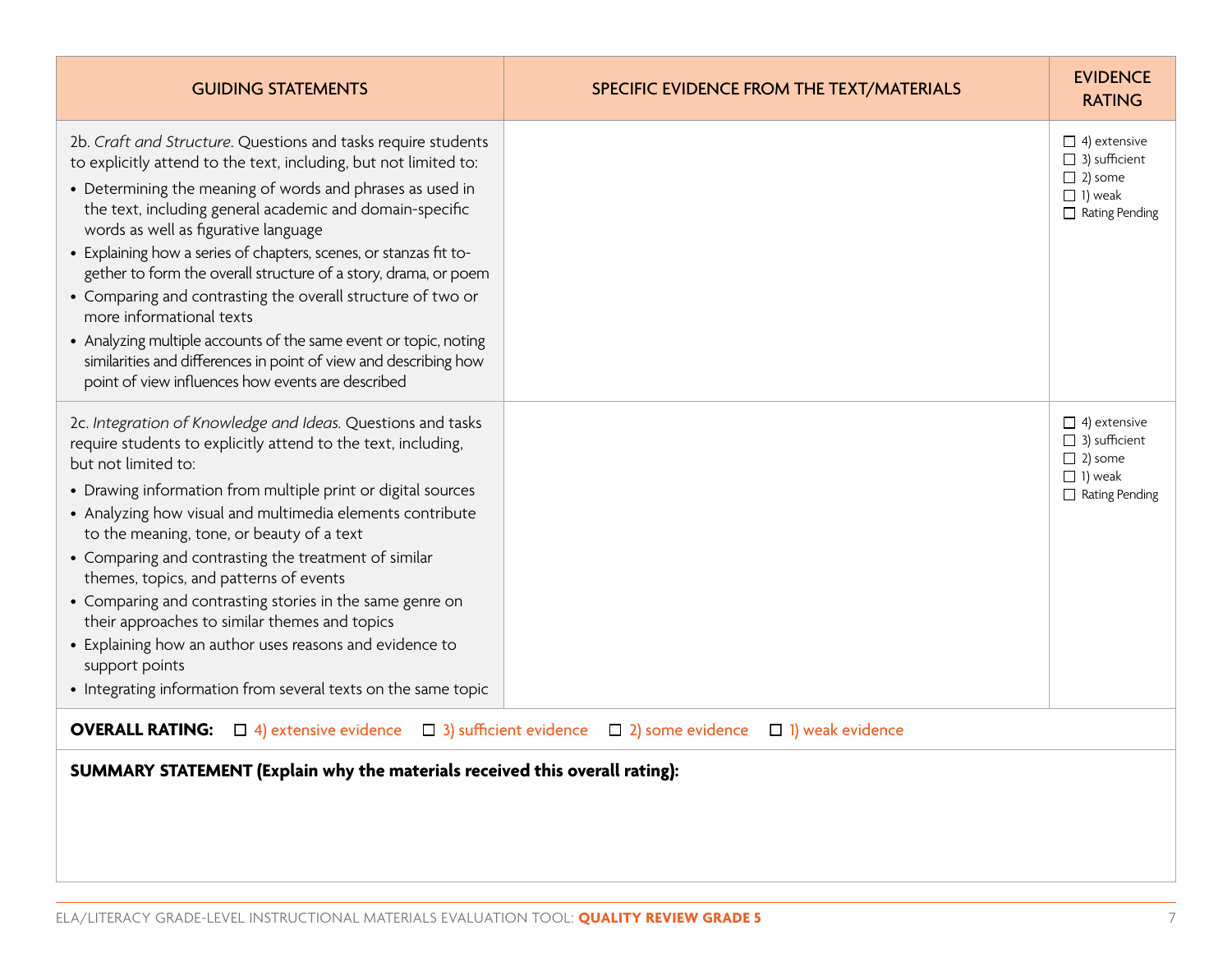| <b>GUIDING STATEMENTS</b>                                                                                                                                                                                                                                                                                                                                                                                                                                                                                                                                                                                                                                                                                                          | SPECIFIC EVIDENCE FROM THE TEXT/MATERIALS | <b>EVIDENCE</b><br><b>RATING</b>                                                                         |
|------------------------------------------------------------------------------------------------------------------------------------------------------------------------------------------------------------------------------------------------------------------------------------------------------------------------------------------------------------------------------------------------------------------------------------------------------------------------------------------------------------------------------------------------------------------------------------------------------------------------------------------------------------------------------------------------------------------------------------|-------------------------------------------|----------------------------------------------------------------------------------------------------------|
| 2b. Craft and Structure. Questions and tasks require students<br>to explicitly attend to the text, including, but not limited to:<br>• Determining the meaning of words and phrases as used in<br>the text, including general academic and domain-specific<br>words as well as figurative language<br>• Explaining how a series of chapters, scenes, or stanzas fit to-<br>gether to form the overall structure of a story, drama, or poem<br>• Comparing and contrasting the overall structure of two or<br>more informational texts<br>• Analyzing multiple accounts of the same event or topic, noting<br>similarities and differences in point of view and describing how<br>point of view influences how events are described |                                           | $\Box$ 4) extensive<br>$\Box$ 3) sufficient<br>$\Box$ 2) some<br>$\Box$ 1) weak<br>$\Box$ Rating Pending |
| 2c. Integration of Knowledge and Ideas. Questions and tasks<br>require students to explicitly attend to the text, including,<br>but not limited to:<br>• Drawing information from multiple print or digital sources<br>• Analyzing how visual and multimedia elements contribute<br>to the meaning, tone, or beauty of a text<br>• Comparing and contrasting the treatment of similar<br>themes, topics, and patterns of events<br>• Comparing and contrasting stories in the same genre on<br>their approaches to similar themes and topics<br>• Explaining how an author uses reasons and evidence to<br>support points<br>• Integrating information from several texts on the same topic                                        |                                           | $\Box$ 4) extensive<br>$\Box$ 3) sufficient<br>$\Box$ 2) some<br>$\Box$ 1) weak<br>$\Box$ Rating Pending |
| <b>OVERALL RATING:</b> $\Box$ 4) extensive evidence $\Box$ 3) sufficient evidence $\Box$ 2) some evidence                                                                                                                                                                                                                                                                                                                                                                                                                                                                                                                                                                                                                          | $\Box$ 1) weak evidence                   |                                                                                                          |
| SUMMARY STATEMENT (Explain why the materials received this overall rating):                                                                                                                                                                                                                                                                                                                                                                                                                                                                                                                                                                                                                                                        |                                           |                                                                                                          |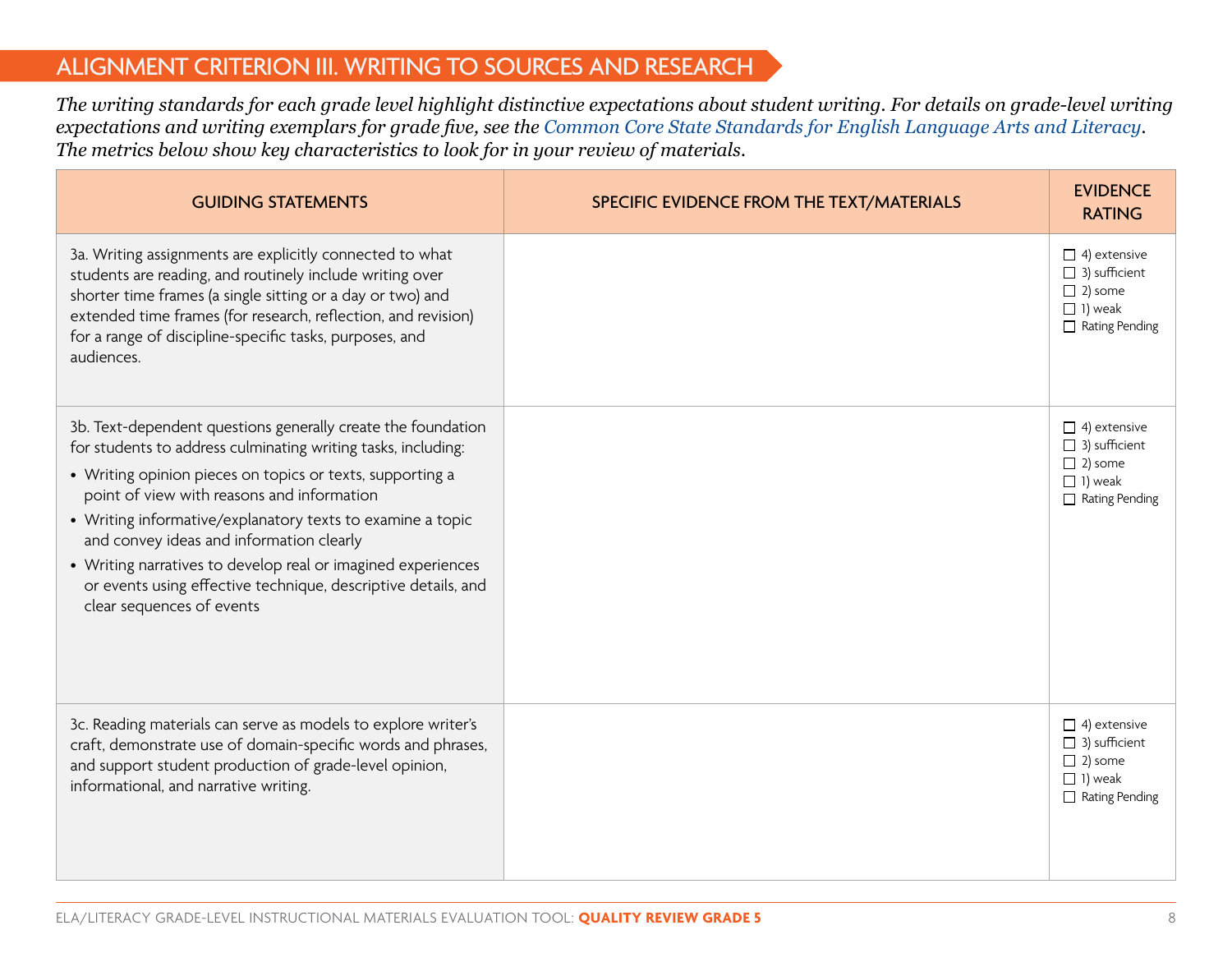#### ALIGNMENT CRITERION III. WRITING TO SOURCES AND RESEARCH

*The writing standards for each grade level highlight distinctive expectations about student writing. For details on grade-level writing expectations and writing exemplars for grade five, see the [Common Core State Standards for English Language Arts and Literacy.](http://www.corestandards.org/ELA-Literacy/) The metrics below show key characteristics to look for in your review of materials.*

| <b>GUIDING STATEMENTS</b>                                                                                                                                                                                                                                                                                                                                                                                                                                                                                        | SPECIFIC EVIDENCE FROM THE TEXT/MATERIALS | <b>EVIDENCE</b><br><b>RATING</b>                                                                         |
|------------------------------------------------------------------------------------------------------------------------------------------------------------------------------------------------------------------------------------------------------------------------------------------------------------------------------------------------------------------------------------------------------------------------------------------------------------------------------------------------------------------|-------------------------------------------|----------------------------------------------------------------------------------------------------------|
| 3a. Writing assignments are explicitly connected to what<br>students are reading, and routinely include writing over<br>shorter time frames (a single sitting or a day or two) and<br>extended time frames (for research, reflection, and revision)<br>for a range of discipline-specific tasks, purposes, and<br>audiences.                                                                                                                                                                                     |                                           | $\Box$ 4) extensive<br>$\Box$ 3) sufficient<br>$\Box$ 2) some<br>$\Box$ 1) weak<br>Rating Pending        |
| 3b. Text-dependent questions generally create the foundation<br>for students to address culminating writing tasks, including:<br>• Writing opinion pieces on topics or texts, supporting a<br>point of view with reasons and information<br>• Writing informative/explanatory texts to examine a topic<br>and convey ideas and information clearly<br>• Writing narratives to develop real or imagined experiences<br>or events using effective technique, descriptive details, and<br>clear sequences of events |                                           | $\Box$ 4) extensive<br>$\Box$ 3) sufficient<br>$\Box$ 2) some<br>$\Box$ 1) weak<br>$\Box$ Rating Pending |
| 3c. Reading materials can serve as models to explore writer's<br>craft, demonstrate use of domain-specific words and phrases,<br>and support student production of grade-level opinion,<br>informational, and narrative writing.                                                                                                                                                                                                                                                                                 |                                           | $\Box$ 4) extensive<br>$\Box$ 3) sufficient<br>$\Box$ 2) some<br>$\Box$ 1) weak<br>$\Box$ Rating Pending |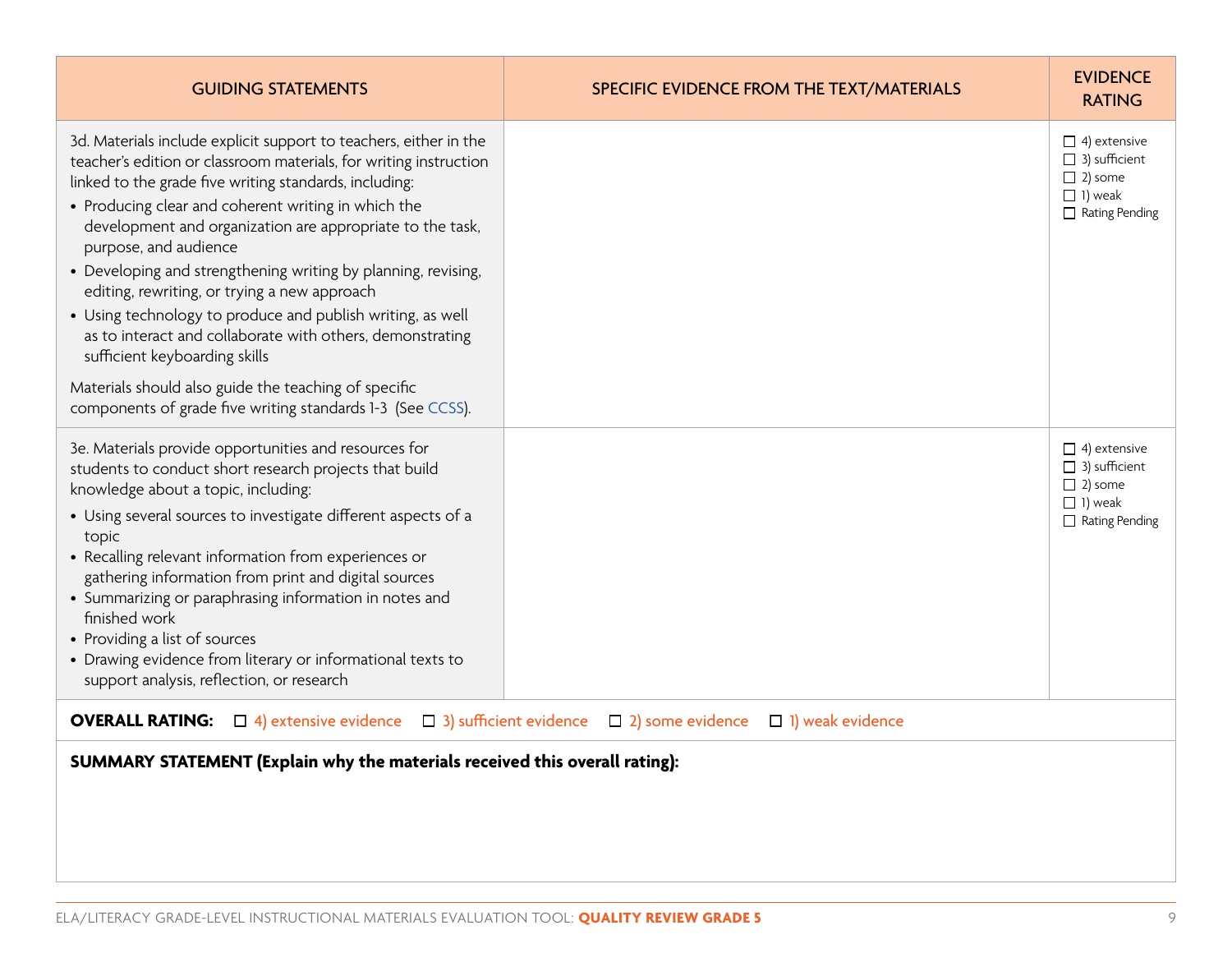| <b>GUIDING STATEMENTS</b>                                                                                                                                                                                                                                                                                                                                                                                                                                                                                                                                                                                                                                                          | SPECIFIC EVIDENCE FROM THE TEXT/MATERIALS | <b>EVIDENCE</b><br><b>RATING</b>                                                                         |
|------------------------------------------------------------------------------------------------------------------------------------------------------------------------------------------------------------------------------------------------------------------------------------------------------------------------------------------------------------------------------------------------------------------------------------------------------------------------------------------------------------------------------------------------------------------------------------------------------------------------------------------------------------------------------------|-------------------------------------------|----------------------------------------------------------------------------------------------------------|
| 3d. Materials include explicit support to teachers, either in the<br>teacher's edition or classroom materials, for writing instruction<br>linked to the grade five writing standards, including:<br>• Producing clear and coherent writing in which the<br>development and organization are appropriate to the task,<br>purpose, and audience<br>• Developing and strengthening writing by planning, revising,<br>editing, rewriting, or trying a new approach<br>• Using technology to produce and publish writing, as well<br>as to interact and collaborate with others, demonstrating<br>sufficient keyboarding skills<br>Materials should also guide the teaching of specific |                                           | $\Box$ 4) extensive<br>$\Box$ 3) sufficient<br>$\Box$ 2) some<br>$\Box$ 1) weak<br>$\Box$ Rating Pending |
| components of grade five writing standards 1-3 (See CCSS).                                                                                                                                                                                                                                                                                                                                                                                                                                                                                                                                                                                                                         |                                           |                                                                                                          |
| 3e. Materials provide opportunities and resources for<br>students to conduct short research projects that build<br>knowledge about a topic, including:<br>• Using several sources to investigate different aspects of a                                                                                                                                                                                                                                                                                                                                                                                                                                                            |                                           | $\Box$ 4) extensive<br>$\Box$ 3) sufficient<br>$\Box$ 2) some<br>$\Box$ 1) weak<br>$\Box$ Rating Pending |
| topic<br>• Recalling relevant information from experiences or<br>gathering information from print and digital sources<br>• Summarizing or paraphrasing information in notes and<br>finished work<br>• Providing a list of sources<br>• Drawing evidence from literary or informational texts to<br>support analysis, reflection, or research                                                                                                                                                                                                                                                                                                                                       |                                           |                                                                                                          |
| <b>OVERALL RATING:</b> $\Box$ 4) extensive evidence $\Box$ 3) sufficient evidence $\Box$ 2) some evidence                                                                                                                                                                                                                                                                                                                                                                                                                                                                                                                                                                          | $\Box$ 1) weak evidence                   |                                                                                                          |
| SUMMARY STATEMENT (Explain why the materials received this overall rating):                                                                                                                                                                                                                                                                                                                                                                                                                                                                                                                                                                                                        |                                           |                                                                                                          |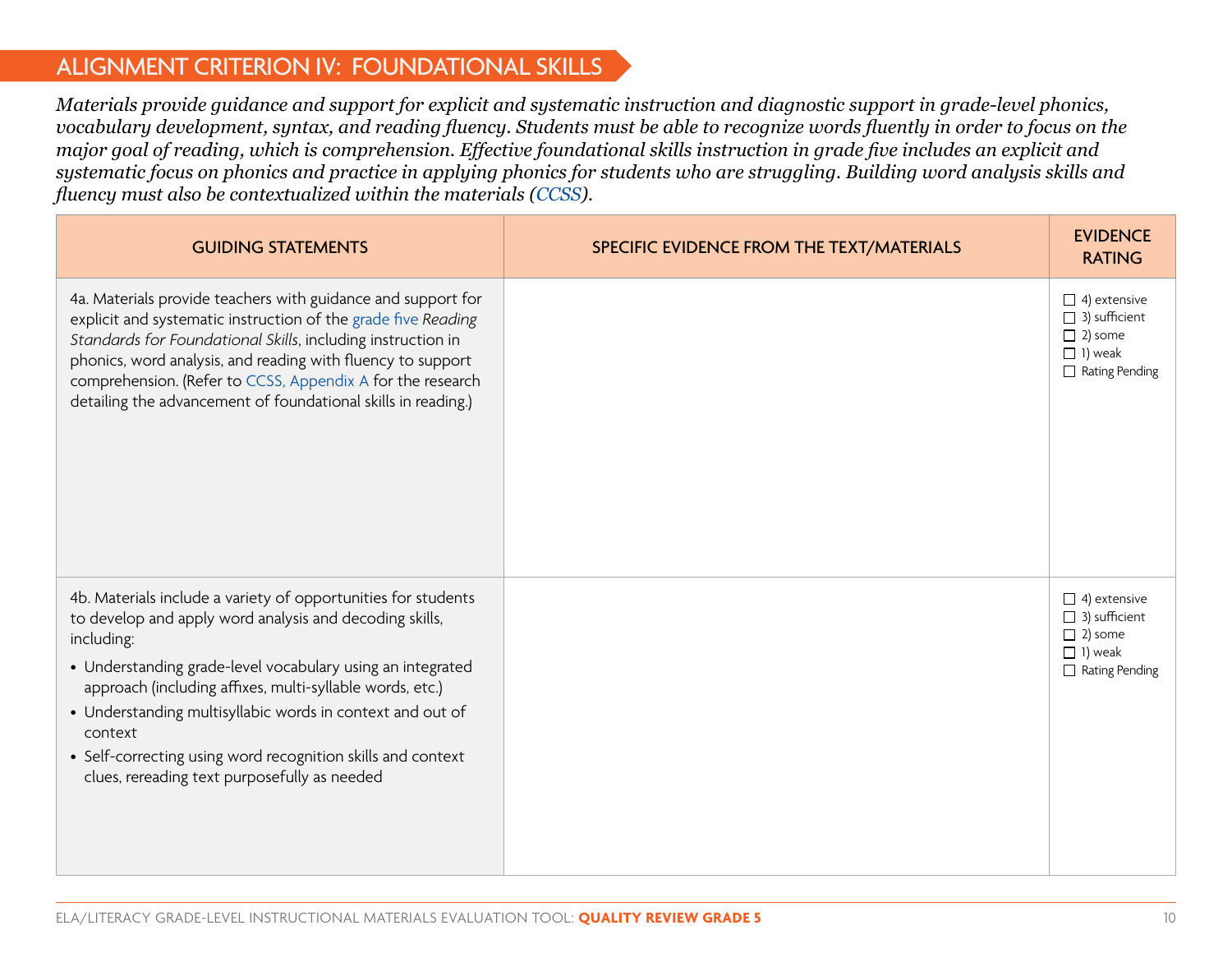#### ALIGNMENT CRITERION IV: FOUNDATIONAL SKILLS

*Materials provide guidance and support for explicit and systematic instruction and diagnostic support in grade-level phonics, vocabulary development, syntax, and reading fluency. Students must be able to recognize words fluently in order to focus on the major goal of reading, which is comprehension. Effective foundational skills instruction in grade five includes an explicit and systematic focus on phonics and practice in applying phonics for students who are struggling. Building word analysis skills and fluency must also be contextualized within the materials ([CCSS\)](http://www.corestandards.org/ELA-Literacy/).* 

| <b>GUIDING STATEMENTS</b>                                                                                                                                                                                                                                                                                                                                                                                                                               | SPECIFIC EVIDENCE FROM THE TEXT/MATERIALS | <b>EVIDENCE</b><br><b>RATING</b>                                                                         |
|---------------------------------------------------------------------------------------------------------------------------------------------------------------------------------------------------------------------------------------------------------------------------------------------------------------------------------------------------------------------------------------------------------------------------------------------------------|-------------------------------------------|----------------------------------------------------------------------------------------------------------|
| 4a. Materials provide teachers with guidance and support for<br>explicit and systematic instruction of the grade five Reading<br>Standards for Foundational Skills, including instruction in<br>phonics, word analysis, and reading with fluency to support<br>comprehension. (Refer to CCSS, Appendix A for the research<br>detailing the advancement of foundational skills in reading.)                                                              |                                           | $\Box$ 4) extensive<br>$\Box$ 3) sufficient<br>$\Box$ 2) some<br>$\Box$ 1) weak<br>$\Box$ Rating Pending |
| 4b. Materials include a variety of opportunities for students<br>to develop and apply word analysis and decoding skills,<br>including:<br>• Understanding grade-level vocabulary using an integrated<br>approach (including affixes, multi-syllable words, etc.)<br>• Understanding multisyllabic words in context and out of<br>context<br>• Self-correcting using word recognition skills and context<br>clues, rereading text purposefully as needed |                                           | $\Box$ 4) extensive<br>$\Box$ 3) sufficient<br>$\Box$ 2) some<br>$\Box$ 1) weak<br>$\Box$ Rating Pending |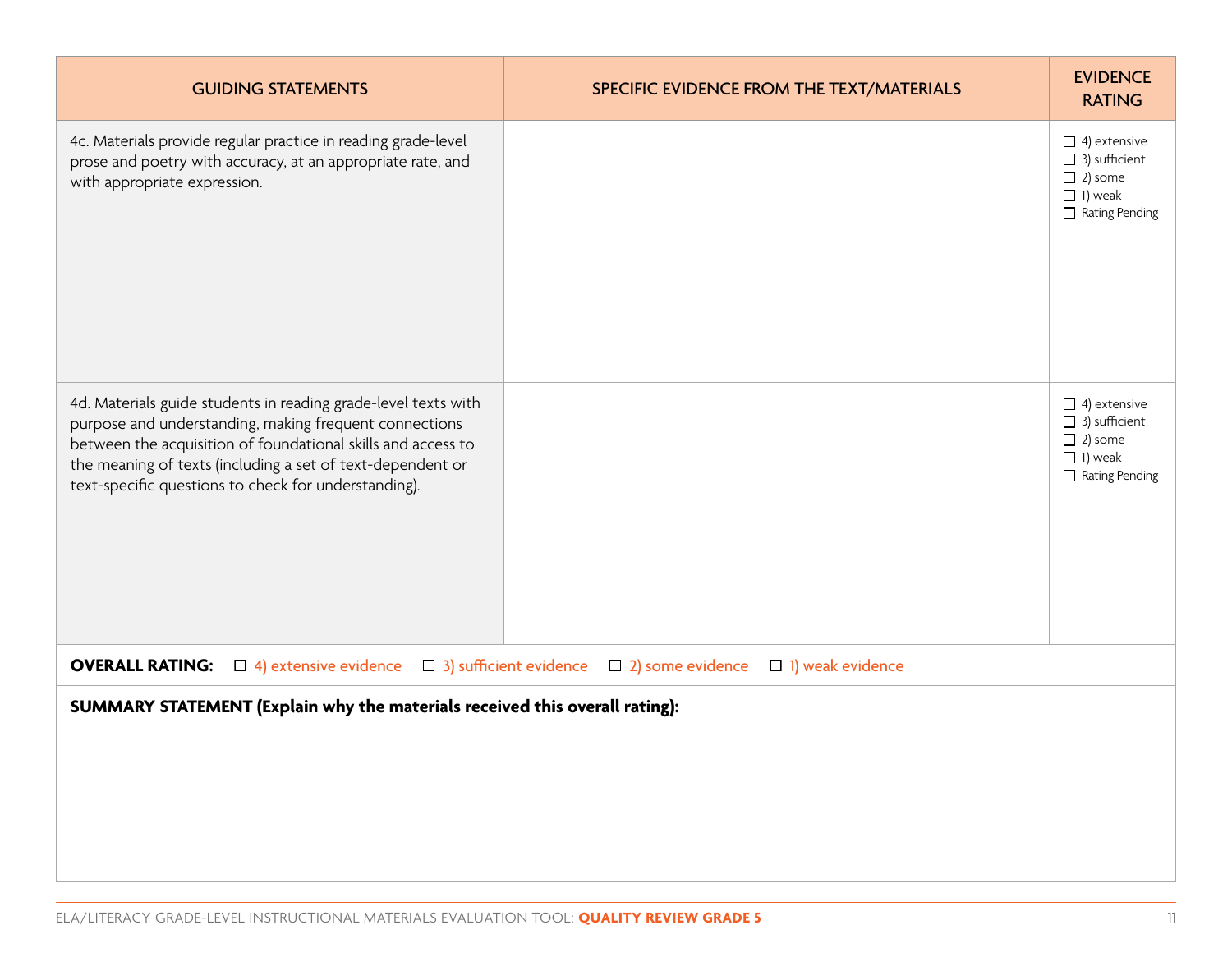| <b>GUIDING STATEMENTS</b>                                                                                                                                                                                                                                                                                      | SPECIFIC EVIDENCE FROM THE TEXT/MATERIALS                                     | <b>EVIDENCE</b><br><b>RATING</b>                                                                         |
|----------------------------------------------------------------------------------------------------------------------------------------------------------------------------------------------------------------------------------------------------------------------------------------------------------------|-------------------------------------------------------------------------------|----------------------------------------------------------------------------------------------------------|
| 4c. Materials provide regular practice in reading grade-level<br>prose and poetry with accuracy, at an appropriate rate, and<br>with appropriate expression.                                                                                                                                                   |                                                                               | $\Box$ 4) extensive<br>$\Box$ 3) sufficient<br>$\Box$ 2) some<br>$\Box$ 1) weak<br>$\Box$ Rating Pending |
| 4d. Materials guide students in reading grade-level texts with<br>purpose and understanding, making frequent connections<br>between the acquisition of foundational skills and access to<br>the meaning of texts (including a set of text-dependent or<br>text-specific questions to check for understanding). |                                                                               | $\Box$ 4) extensive<br>$\Box$ 3) sufficient<br>$\Box$ 2) some<br>$\Box$ 1) weak<br>$\Box$ Rating Pending |
| <b>OVERALL RATING:</b> $\Box$ 4) extensive evidence                                                                                                                                                                                                                                                            | $\Box$ 3) sufficient evidence $\Box$ 2) some evidence $\Box$ 1) weak evidence |                                                                                                          |
| SUMMARY STATEMENT (Explain why the materials received this overall rating):                                                                                                                                                                                                                                    |                                                                               |                                                                                                          |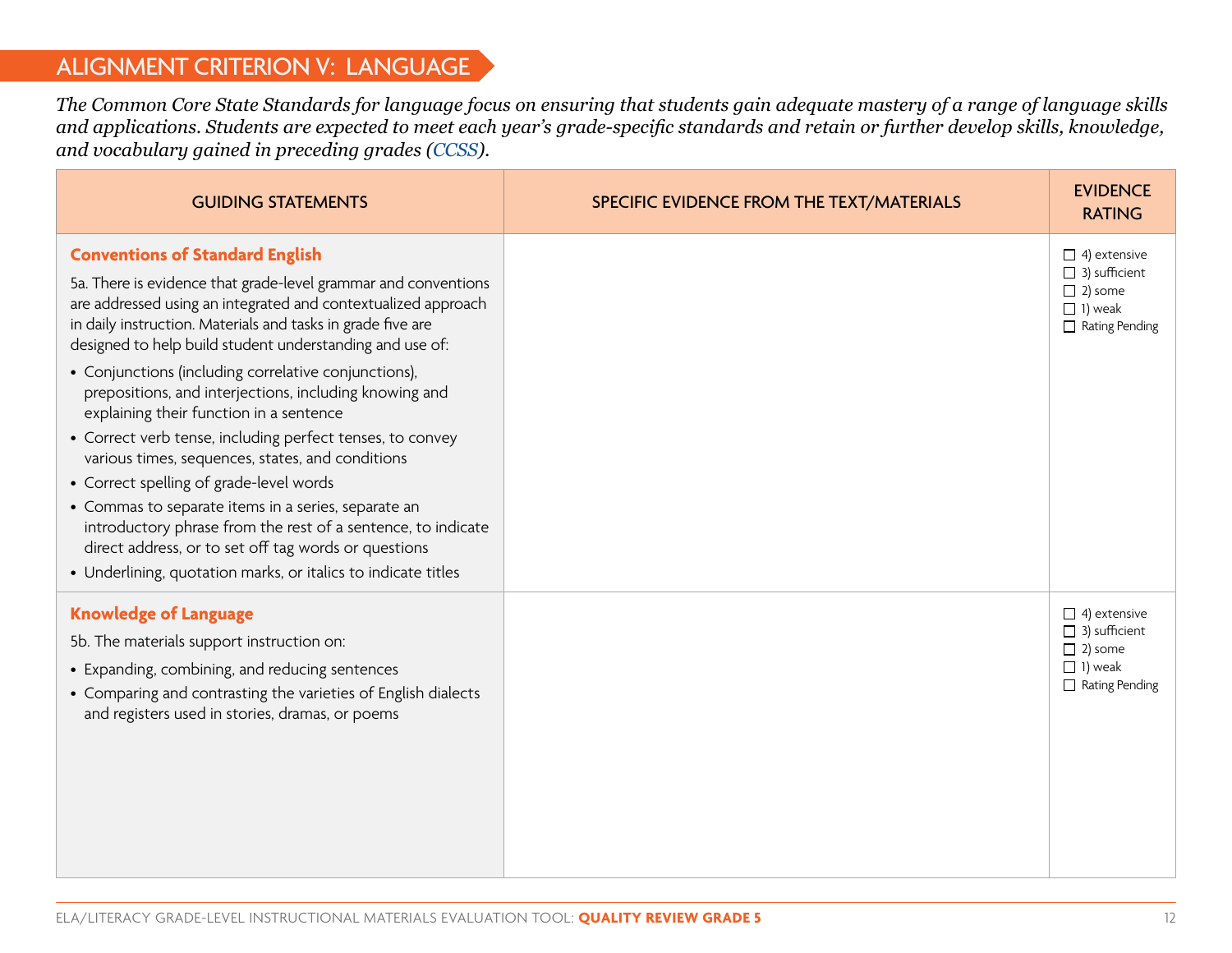### ALIGNMENT CRITERION V: LANGUAGE

*The Common Core State Standards for language focus on ensuring that students gain adequate mastery of a range of language skills and applications. Students are expected to meet each year's grade-specific standards and retain or further develop skills, knowledge, and vocabulary gained in preceding grades [\(CCSS](http://www.corestandards.org/ELA-Literacy/)).*

| <b>GUIDING STATEMENTS</b>                                                                                                                                                                                                                                                                                                                                                                                                                                                                                                                                                                                                                                                                                                                                                                                                                                                     | SPECIFIC EVIDENCE FROM THE TEXT/MATERIALS | <b>EVIDENCE</b><br><b>RATING</b>                                                                         |
|-------------------------------------------------------------------------------------------------------------------------------------------------------------------------------------------------------------------------------------------------------------------------------------------------------------------------------------------------------------------------------------------------------------------------------------------------------------------------------------------------------------------------------------------------------------------------------------------------------------------------------------------------------------------------------------------------------------------------------------------------------------------------------------------------------------------------------------------------------------------------------|-------------------------------------------|----------------------------------------------------------------------------------------------------------|
| <b>Conventions of Standard English</b><br>5a. There is evidence that grade-level grammar and conventions<br>are addressed using an integrated and contextualized approach<br>in daily instruction. Materials and tasks in grade five are<br>designed to help build student understanding and use of:<br>• Conjunctions (including correlative conjunctions),<br>prepositions, and interjections, including knowing and<br>explaining their function in a sentence<br>• Correct verb tense, including perfect tenses, to convey<br>various times, sequences, states, and conditions<br>• Correct spelling of grade-level words<br>• Commas to separate items in a series, separate an<br>introductory phrase from the rest of a sentence, to indicate<br>direct address, or to set off tag words or questions<br>• Underlining, quotation marks, or italics to indicate titles |                                           | $\Box$ 4) extensive<br>$\Box$ 3) sufficient<br>$\Box$ 2) some<br>$\Box$ 1) weak<br>$\Box$ Rating Pending |
| <b>Knowledge of Language</b><br>5b. The materials support instruction on:<br>• Expanding, combining, and reducing sentences<br>• Comparing and contrasting the varieties of English dialects<br>and registers used in stories, dramas, or poems                                                                                                                                                                                                                                                                                                                                                                                                                                                                                                                                                                                                                               |                                           | $\Box$ 4) extensive<br>$\Box$ 3) sufficient<br>$\Box$ 2) some<br>$\Box$ 1) weak<br>$\Box$ Rating Pending |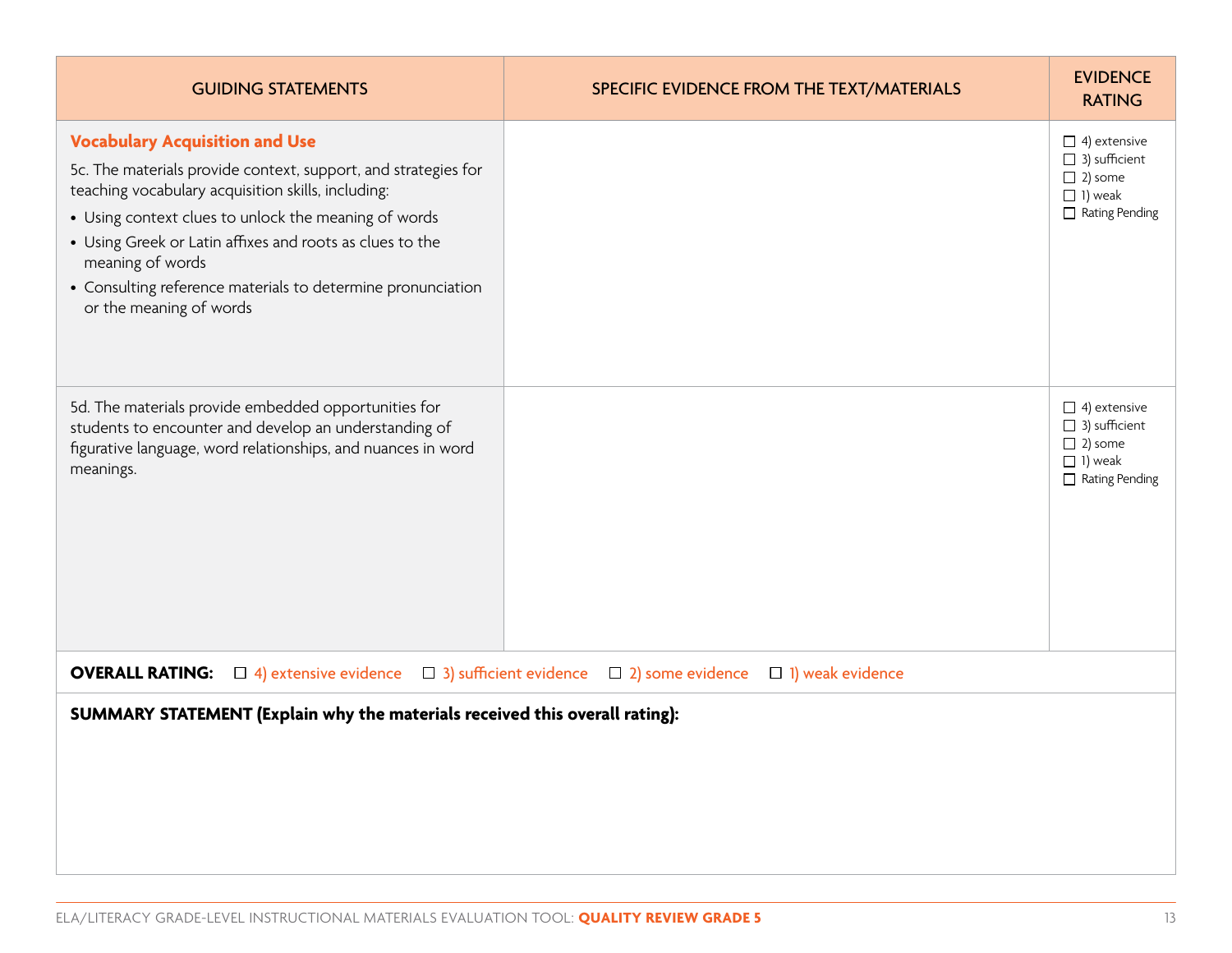| <b>GUIDING STATEMENTS</b>                                                                                                                                                                                                                                                                                                                                                                       | SPECIFIC EVIDENCE FROM THE TEXT/MATERIALS                                        | <b>EVIDENCE</b><br><b>RATING</b>                                                                         |
|-------------------------------------------------------------------------------------------------------------------------------------------------------------------------------------------------------------------------------------------------------------------------------------------------------------------------------------------------------------------------------------------------|----------------------------------------------------------------------------------|----------------------------------------------------------------------------------------------------------|
| <b>Vocabulary Acquisition and Use</b><br>5c. The materials provide context, support, and strategies for<br>teaching vocabulary acquisition skills, including:<br>• Using context clues to unlock the meaning of words<br>• Using Greek or Latin affixes and roots as clues to the<br>meaning of words<br>• Consulting reference materials to determine pronunciation<br>or the meaning of words |                                                                                  | $\Box$ 4) extensive<br>$\Box$ 3) sufficient<br>$\Box$ 2) some<br>$\Box$ 1) weak<br>$\Box$ Rating Pending |
| 5d. The materials provide embedded opportunities for<br>students to encounter and develop an understanding of<br>figurative language, word relationships, and nuances in word<br>meanings.                                                                                                                                                                                                      |                                                                                  | $\Box$ 4) extensive<br>$\Box$ 3) sufficient<br>$\Box$ 2) some<br>$\Box$ 1) weak<br>$\Box$ Rating Pending |
| <b>OVERALL RATING:</b> $\Box$ 4) extensive evidence                                                                                                                                                                                                                                                                                                                                             | $\Box$ 3) sufficient evidence $\Box$ 2) some evidence<br>$\Box$ 1) weak evidence |                                                                                                          |
| SUMMARY STATEMENT (Explain why the materials received this overall rating):                                                                                                                                                                                                                                                                                                                     |                                                                                  |                                                                                                          |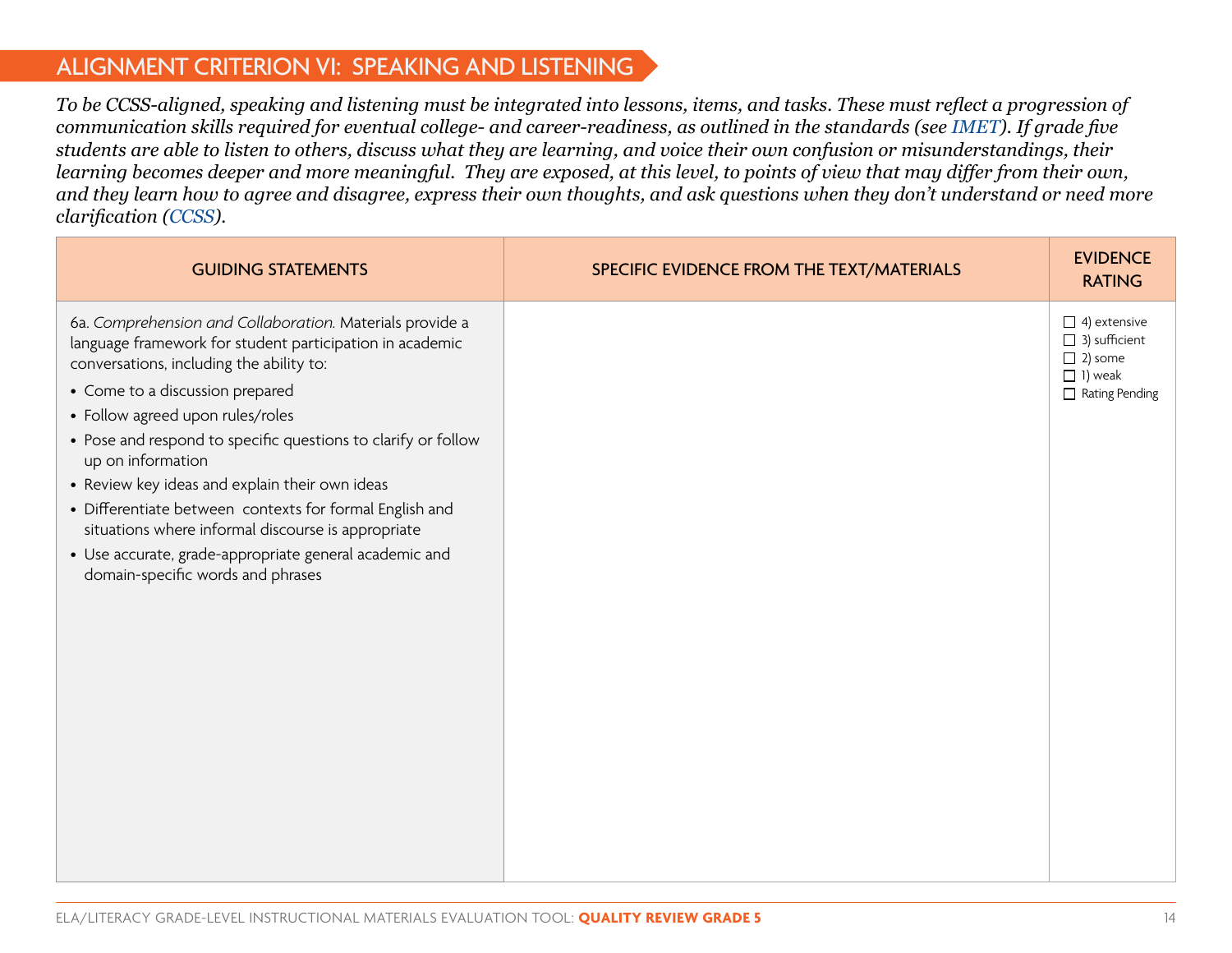#### ALIGNMENT CRITERION VI: SPEAKING AND LISTENING

*To be CCSS-aligned, speaking and listening must be integrated into lessons, items, and tasks. These must reflect a progression of communication skills required for eventual college- and career-readiness, as outlined in the standards (see [IMET](http://achievethecore.org/page/783/instructional-materials-evaluation-tool-imet)). If grade five students are able to listen to others, discuss what they are learning, and voice their own confusion or misunderstandings, their learning becomes deeper and more meaningful. They are exposed, at this level, to points of view that may differ from their own, and they learn how to agree and disagree, express their own thoughts, and ask questions when they don't understand or need more clarification ([CCSS\)](http://www.corestandards.org/ELA-Literacy/).*

| <b>GUIDING STATEMENTS</b>                                                                                                                                                                                                                                                                                                                                                                                                                                                                                                                                                                       | SPECIFIC EVIDENCE FROM THE TEXT/MATERIALS | <b>EVIDENCE</b><br><b>RATING</b>                                                                  |
|-------------------------------------------------------------------------------------------------------------------------------------------------------------------------------------------------------------------------------------------------------------------------------------------------------------------------------------------------------------------------------------------------------------------------------------------------------------------------------------------------------------------------------------------------------------------------------------------------|-------------------------------------------|---------------------------------------------------------------------------------------------------|
| 6a. Comprehension and Collaboration. Materials provide a<br>language framework for student participation in academic<br>conversations, including the ability to:<br>• Come to a discussion prepared<br>• Follow agreed upon rules/roles<br>• Pose and respond to specific questions to clarify or follow<br>up on information<br>• Review key ideas and explain their own ideas<br>• Differentiate between contexts for formal English and<br>situations where informal discourse is appropriate<br>• Use accurate, grade-appropriate general academic and<br>domain-specific words and phrases |                                           | $\Box$ 4) extensive<br>$\Box$ 3) sufficient<br>$\Box$ 2) some<br>$\Box$ 1) weak<br>Rating Pending |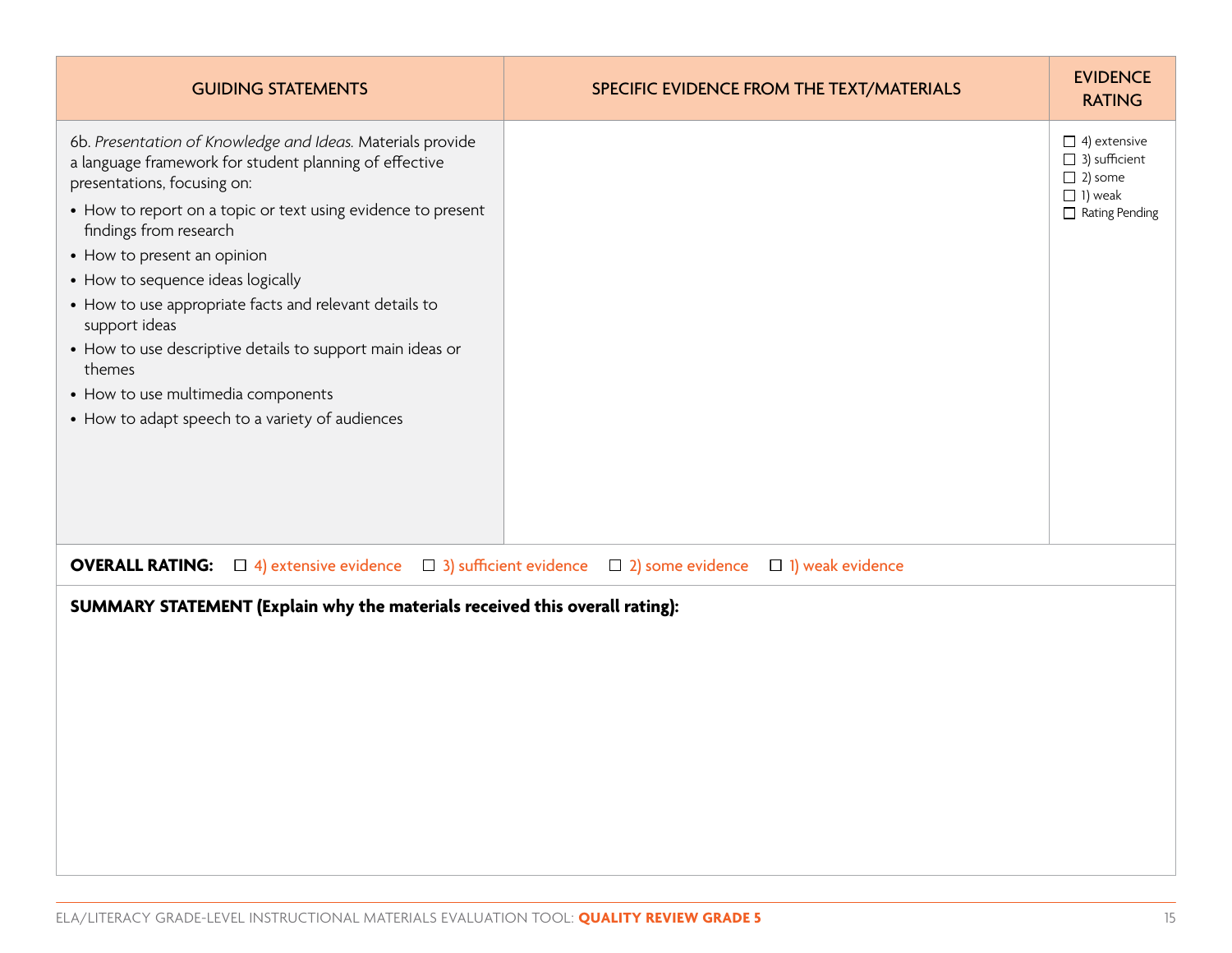| <b>GUIDING STATEMENTS</b>                                                                                                                                                                                                                                                                                                                                                                                                                                                                                                                                    | SPECIFIC EVIDENCE FROM THE TEXT/MATERIALS | <b>EVIDENCE</b><br><b>RATING</b>                                                                         |
|--------------------------------------------------------------------------------------------------------------------------------------------------------------------------------------------------------------------------------------------------------------------------------------------------------------------------------------------------------------------------------------------------------------------------------------------------------------------------------------------------------------------------------------------------------------|-------------------------------------------|----------------------------------------------------------------------------------------------------------|
| 6b. Presentation of Knowledge and Ideas. Materials provide<br>a language framework for student planning of effective<br>presentations, focusing on:<br>• How to report on a topic or text using evidence to present<br>findings from research<br>• How to present an opinion<br>• How to sequence ideas logically<br>• How to use appropriate facts and relevant details to<br>support ideas<br>• How to use descriptive details to support main ideas or<br>themes<br>• How to use multimedia components<br>• How to adapt speech to a variety of audiences |                                           | $\Box$ 4) extensive<br>$\Box$ 3) sufficient<br>$\Box$ 2) some<br>$\Box$ 1) weak<br>$\Box$ Rating Pending |
| $\Box$ 4) extensive evidence $\Box$ 3) sufficient evidence $\Box$ 2) some evidence<br>$\Box$ 1) weak evidence<br><b>OVERALL RATING:</b>                                                                                                                                                                                                                                                                                                                                                                                                                      |                                           |                                                                                                          |
| SUMMARY STATEMENT (Explain why the materials received this overall rating):                                                                                                                                                                                                                                                                                                                                                                                                                                                                                  |                                           |                                                                                                          |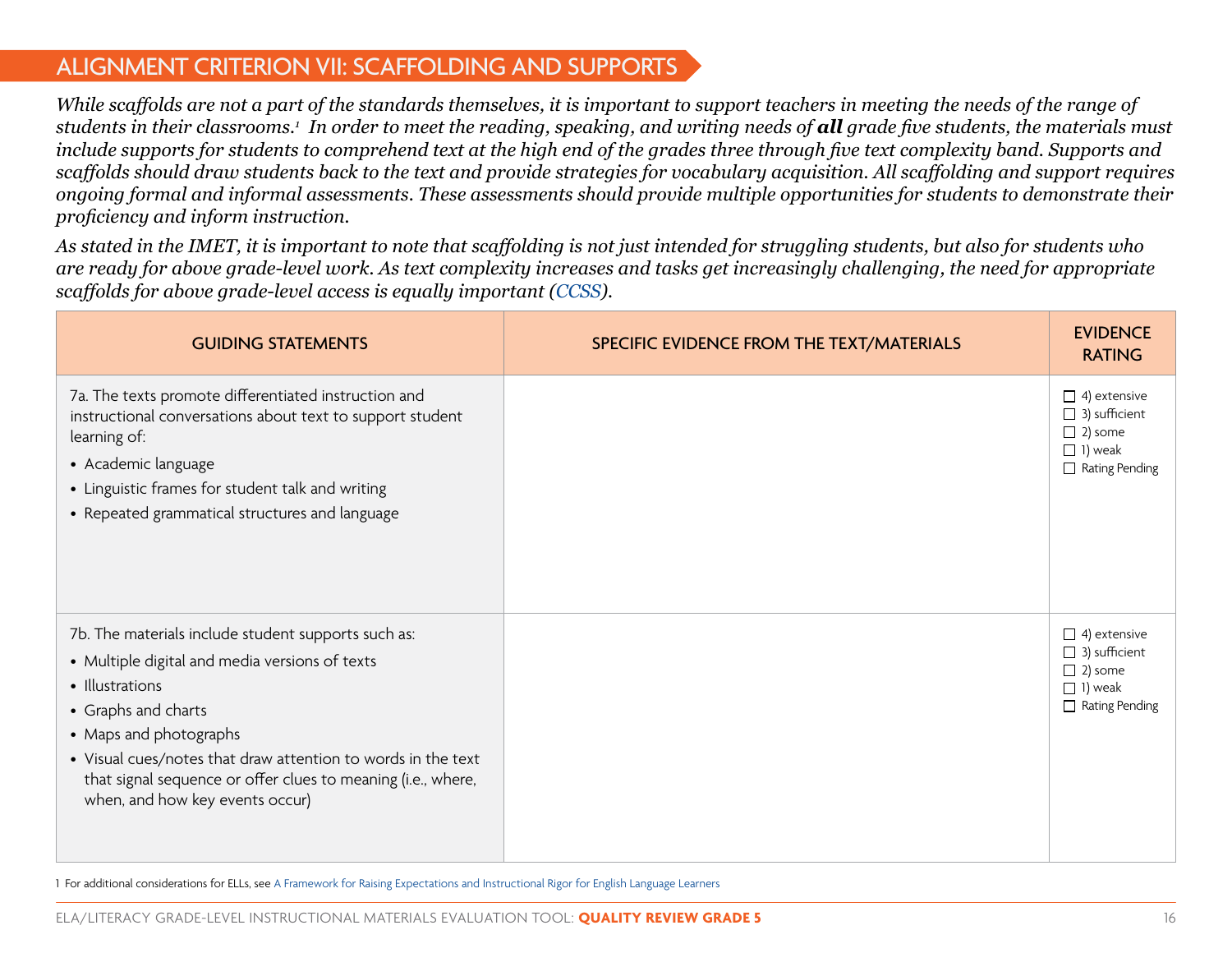#### ALIGNMENT CRITERION VII: SCAFFOLDING AND SUPPORTS

*While scaffolds are not a part of the standards themselves, it is important to support teachers in meeting the needs of the range of students in their classrooms.1 In order to meet the reading, speaking, and writing needs of all grade five students, the materials must include supports for students to comprehend text at the high end of the grades three through five text complexity band. Supports and scaffolds should draw students back to the text and provide strategies for vocabulary acquisition. All scaffolding and support requires ongoing formal and informal assessments. These assessments should provide multiple opportunities for students to demonstrate their proficiency and inform instruction.*

*As stated in the IMET, it is important to note that scaffolding is not just intended for struggling students, but also for students who are ready for above grade-level work. As text complexity increases and tasks get increasingly challenging, the need for appropriate scaffolds for above grade-level access is equally important ([CCSS](http://www.corestandards.org/ELA-Literacy/)).* 

| <b>GUIDING STATEMENTS</b>                                                                                                                                                                                                                                                                                                                    | SPECIFIC EVIDENCE FROM THE TEXT/MATERIALS | <b>EVIDENCE</b><br><b>RATING</b>                                                                         |
|----------------------------------------------------------------------------------------------------------------------------------------------------------------------------------------------------------------------------------------------------------------------------------------------------------------------------------------------|-------------------------------------------|----------------------------------------------------------------------------------------------------------|
| 7a. The texts promote differentiated instruction and<br>instructional conversations about text to support student<br>learning of:<br>• Academic language<br>• Linguistic frames for student talk and writing<br>• Repeated grammatical structures and language                                                                               |                                           | $\Box$ 4) extensive<br>$\Box$ 3) sufficient<br>$\Box$ 2) some<br>$\Box$ 1) weak<br>$\Box$ Rating Pending |
| 7b. The materials include student supports such as:<br>• Multiple digital and media versions of texts<br>• Illustrations<br>• Graphs and charts<br>• Maps and photographs<br>• Visual cues/notes that draw attention to words in the text<br>that signal sequence or offer clues to meaning (i.e., where,<br>when, and how key events occur) |                                           | $\Box$ 4) extensive<br>$\Box$ 3) sufficient<br>$\Box$ 2) some<br>$\Box$ 1) weak<br>$\Box$ Rating Pending |

1 For additional considerations for ELLs, see [A Framework for Raising Expectations and Instructional Rigor for English Language Learners](http://www.cgcs.org/cms/lib/DC00001581/Centricity/Domain/4/Framework%20for%20Raising%20Expectations.pdf)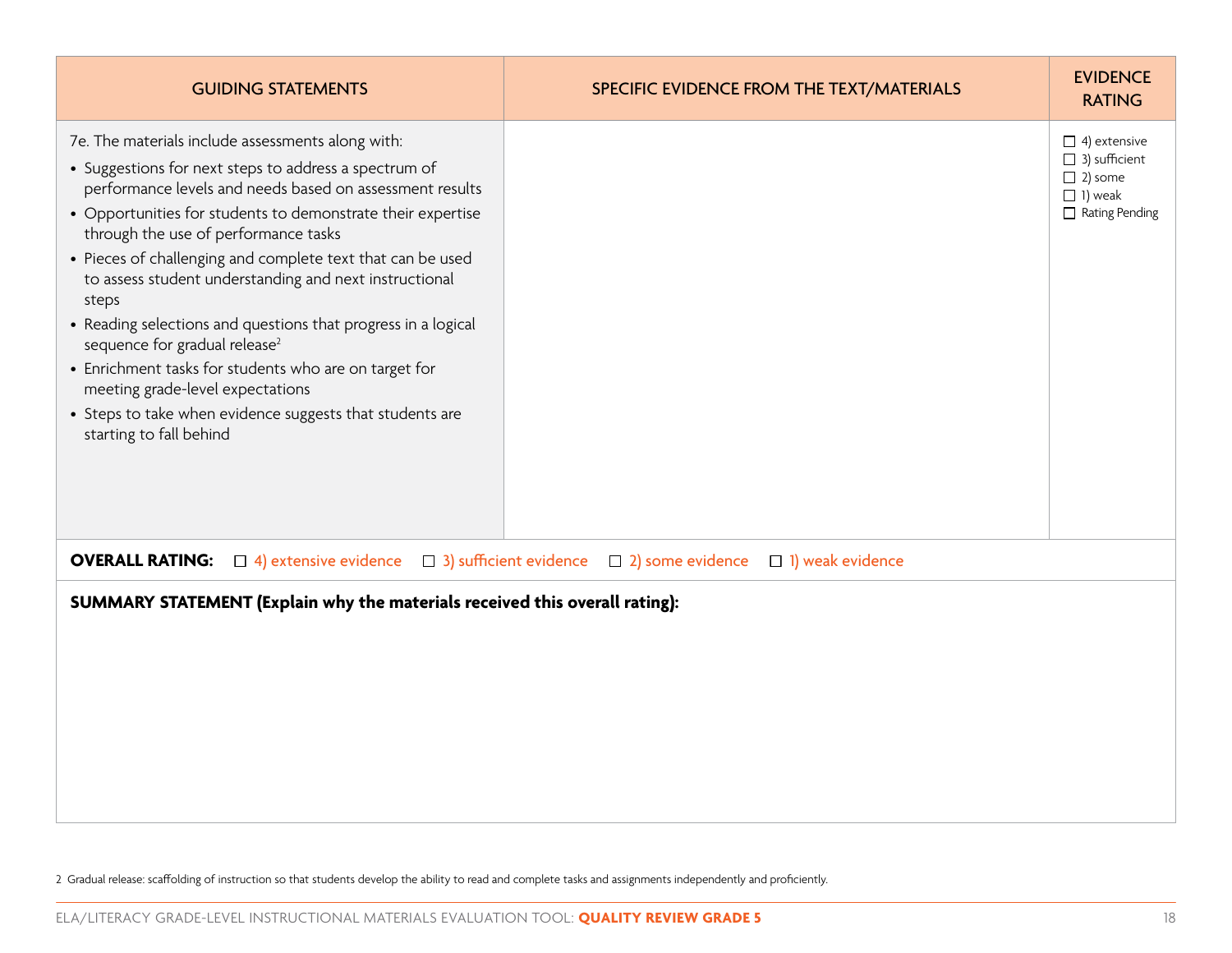| <b>GUIDING STATEMENTS</b>                                                                                                                                                                                                                                                                                                                                                                                                                                                                                                                                                                                                                                                                                        | SPECIFIC EVIDENCE FROM THE TEXT/MATERIALS                                        | <b>EVIDENCE</b><br><b>RATING</b>                                                                  |
|------------------------------------------------------------------------------------------------------------------------------------------------------------------------------------------------------------------------------------------------------------------------------------------------------------------------------------------------------------------------------------------------------------------------------------------------------------------------------------------------------------------------------------------------------------------------------------------------------------------------------------------------------------------------------------------------------------------|----------------------------------------------------------------------------------|---------------------------------------------------------------------------------------------------|
| 7e. The materials include assessments along with:<br>• Suggestions for next steps to address a spectrum of<br>performance levels and needs based on assessment results<br>• Opportunities for students to demonstrate their expertise<br>through the use of performance tasks<br>• Pieces of challenging and complete text that can be used<br>to assess student understanding and next instructional<br>steps<br>• Reading selections and questions that progress in a logical<br>sequence for gradual release <sup>2</sup><br>• Enrichment tasks for students who are on target for<br>meeting grade-level expectations<br>• Steps to take when evidence suggests that students are<br>starting to fall behind |                                                                                  | $\Box$ 4) extensive<br>$\Box$ 3) sufficient<br>$\Box$ 2) some<br>$\Box$ 1) weak<br>Rating Pending |
| <b>OVERALL RATING:</b> $\Box$ 4) extensive evidence<br>SUMMARY STATEMENT (Explain why the materials received this overall rating):                                                                                                                                                                                                                                                                                                                                                                                                                                                                                                                                                                               | $\Box$ 3) sufficient evidence $\Box$ 2) some evidence<br>$\Box$ 1) weak evidence |                                                                                                   |

2 Gradual release: scaffolding of instruction so that students develop the ability to read and complete tasks and assignments independently and proficiently.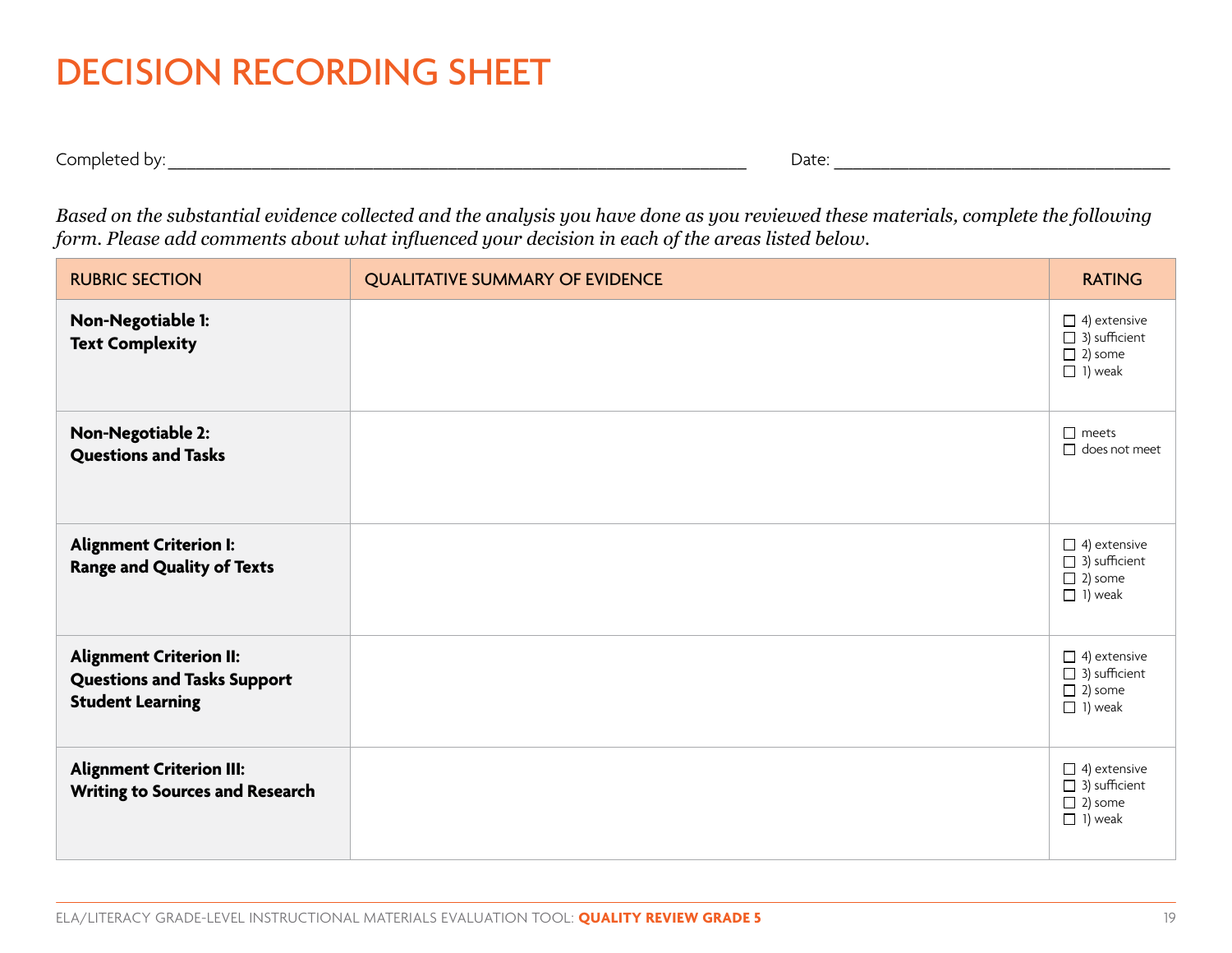### DECISION RECORDING SHEET

Completed by:\_\_\_\_\_\_\_\_\_\_\_\_\_\_\_\_\_\_\_\_\_\_\_\_\_\_\_\_\_\_\_\_\_\_\_\_\_\_\_\_\_\_\_\_\_\_\_\_\_\_\_\_\_\_\_\_\_\_\_\_\_\_ Date: \_\_\_\_\_\_\_\_\_\_\_\_\_\_\_\_\_\_\_\_\_\_\_\_\_\_\_\_\_\_\_\_\_\_\_\_

*Based on the substantial evidence collected and the analysis you have done as you reviewed these materials, complete the following form. Please add comments about what influenced your decision in each of the areas listed below.*

| <b>RUBRIC SECTION</b>                                                                           | <b>QUALITATIVE SUMMARY OF EVIDENCE</b> | <b>RATING</b>                                                                   |
|-------------------------------------------------------------------------------------------------|----------------------------------------|---------------------------------------------------------------------------------|
| Non-Negotiable 1:<br><b>Text Complexity</b>                                                     |                                        | $\Box$ 4) extensive<br>$\Box$ 3) sufficient<br>$\Box$ 2) some<br>$\Box$ 1) weak |
| Non-Negotiable 2:<br><b>Questions and Tasks</b>                                                 |                                        | $\Box$ meets<br>$\Box$ does not meet                                            |
| <b>Alignment Criterion I:</b><br><b>Range and Quality of Texts</b>                              |                                        | $\Box$ 4) extensive<br>$\Box$ 3) sufficient<br>$\Box$ 2) some<br>$\Box$ 1) weak |
| <b>Alignment Criterion II:</b><br><b>Questions and Tasks Support</b><br><b>Student Learning</b> |                                        | $\Box$ 4) extensive<br>$\Box$ 3) sufficient<br>$\Box$ 2) some<br>$\Box$ 1) weak |
| <b>Alignment Criterion III:</b><br>Writing to Sources and Research                              |                                        | $\Box$ 4) extensive<br>$\Box$ 3) sufficient<br>$\Box$ 2) some<br>$\Box$ 1) weak |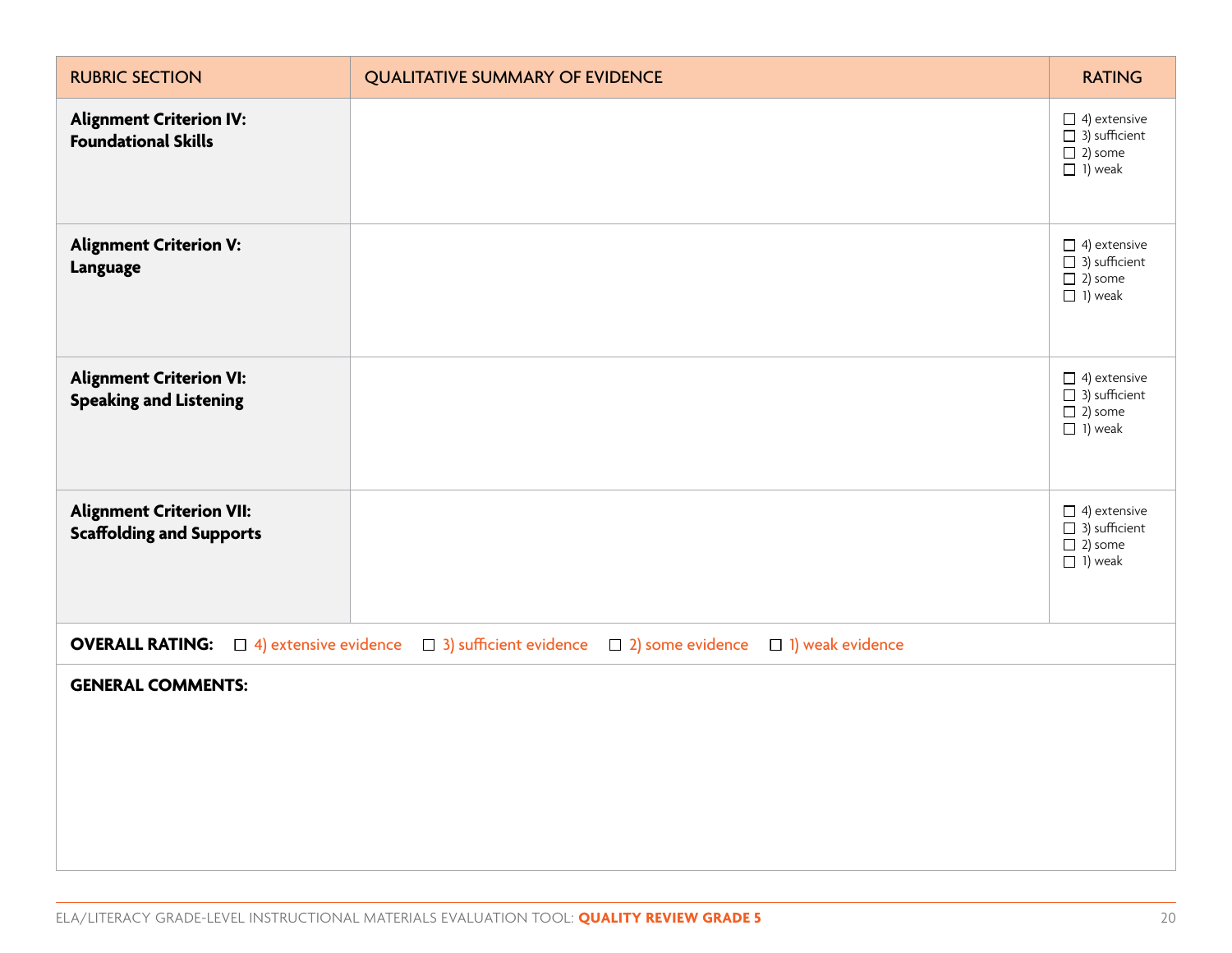| <b>RUBRIC SECTION</b>                                                                                                        | <b>QUALITATIVE SUMMARY OF EVIDENCE</b> | <b>RATING</b>                                                                   |
|------------------------------------------------------------------------------------------------------------------------------|----------------------------------------|---------------------------------------------------------------------------------|
| <b>Alignment Criterion IV:</b><br><b>Foundational Skills</b>                                                                 |                                        | $\Box$ 4) extensive<br>$\Box$ 3) sufficient<br>$\Box$ 2) some<br>$\Box$ 1) weak |
| <b>Alignment Criterion V:</b><br><b>Language</b>                                                                             |                                        | $\Box$ 4) extensive<br>$\Box$ 3) sufficient<br>$\Box$ 2) some<br>$\Box$ 1) weak |
| <b>Alignment Criterion VI:</b><br><b>Speaking and Listening</b>                                                              |                                        | $\Box$ 4) extensive<br>$\Box$ 3) sufficient<br>$\Box$ 2) some<br>$\Box$ 1) weak |
| <b>Alignment Criterion VII:</b><br><b>Scaffolding and Supports</b>                                                           |                                        | $\Box$ 4) extensive<br>$\Box$ 3) sufficient<br>$\Box$ 2) some<br>$\Box$ 1) weak |
| <b>OVERALL RATING:</b> $\Box$ 4) extensive evidence<br>3) sufficient evidence<br>$\Box$ 2) some evidence<br>1) weak evidence |                                        |                                                                                 |
| <b>GENERAL COMMENTS:</b>                                                                                                     |                                        |                                                                                 |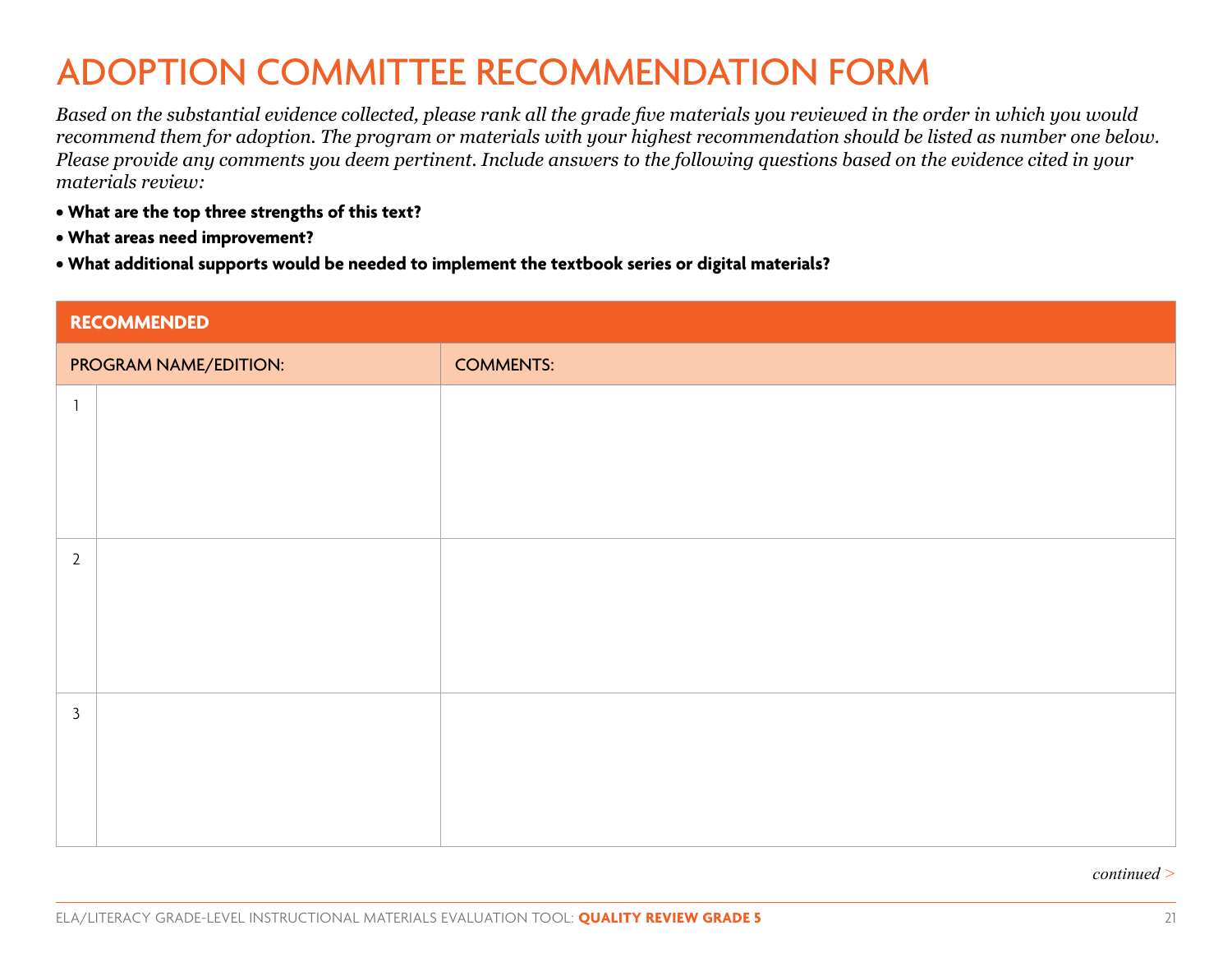### ADOPTION COMMITTEE RECOMMENDATION FORM

*Based on the substantial evidence collected, please rank all the grade five materials you reviewed in the order in which you would recommend them for adoption. The program or materials with your highest recommendation should be listed as number one below. Please provide any comments you deem pertinent. Include answers to the following questions based on the evidence cited in your materials review:*

- **What are the top three strengths of this text?**
- **What areas need improvement?**
- **What additional supports would be needed to implement the textbook series or digital materials?**

| RECOMMENDED           |  |                  |
|-----------------------|--|------------------|
| PROGRAM NAME/EDITION: |  | <b>COMMENTS:</b> |
| -1                    |  |                  |
|                       |  |                  |
|                       |  |                  |
|                       |  |                  |
| $\overline{2}$        |  |                  |
|                       |  |                  |
|                       |  |                  |
|                       |  |                  |
| $\mathbf{3}$          |  |                  |
|                       |  |                  |
|                       |  |                  |
|                       |  |                  |

#### *continued >*